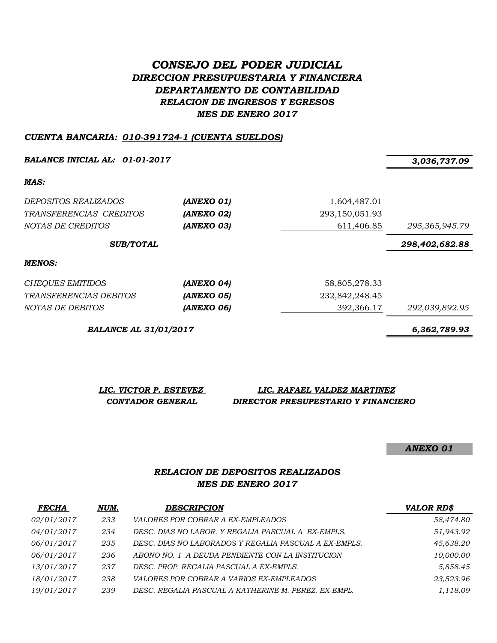# *CONSEJO DEL PODER JUDICIAL DIRECCION PRESUPUESTARIA Y FINANCIERA DEPARTAMENTO DE CONTABILIDAD RELACION DE INGRESOS Y EGRESOS MES DE ENERO 2017*

### *CUENTA BANCARIA: 010-391724-1 (CUENTA SUELDOS)*

*BALANCE INICIAL AL: 01-01-2017 3,036,737.09*

*MAS:*

| <i>DEPOSITOS REALIZADOS</i><br>TRANSFERENCIAS CREDITOS<br>NOTAS DE CREDITOS | (ANEXO 01)<br>(ANEXO 02)<br>(ANEXO 03) | 1,604,487.01<br>293,150,051.93<br>611,406.85 | 295, 365, 945.79 |
|-----------------------------------------------------------------------------|----------------------------------------|----------------------------------------------|------------------|
| <b>SUB/TOTAL</b>                                                            |                                        |                                              | 298,402,682.88   |
| MENOS:                                                                      |                                        |                                              |                  |
| <b>CHEQUES EMITIDOS</b>                                                     | (ANEXO 04)                             | 58,805,278.33                                |                  |
| TRANSFERENCIAS DEBITOS                                                      | <b>(ANEXO 05)</b>                      | 232,842,248.45                               |                  |
| NOTAS DE DEBITOS                                                            | (ANEXO 06)                             | 392,366.17                                   | 292,039,892.95   |

*BALANCE AL 31/01/2017 6,362,789.93*

*LIC. VICTOR P. ESTEVEZ LIC. RAFAEL VALDEZ MARTINEZ CONTADOR GENERAL DIRECTOR PRESUPESTARIO Y FINANCIERO*

*ANEXO 01*

## *RELACION DE DEPOSITOS REALIZADOS MES DE ENERO 2017*

| <b>FECHA</b> | NUM. | <b>DESCRIPCION</b>                                    | <b>VALOR RD\$</b> |
|--------------|------|-------------------------------------------------------|-------------------|
| 02/01/2017   | 233  | <i>VALORES POR COBRAR A EX-EMPLEADOS</i>              | 58,474.80         |
| 04/01/2017   | 234  | DESC. DIAS NO LABOR. Y REGALIA PASCUAL A EX-EMPLS.    | 51,943.92         |
| 06/01/2017   | 235  | DESC. DIAS NO LABORADOS Y REGALIA PASCUAL A EX-EMPLS. | 45,638.20         |
| 06/01/2017   | 236  | ABONO NO. 1 A DEUDA PENDIENTE CON LA INSTITUCION      | 10,000.00         |
| 13/01/2017   | 237  | DESC. PROP. REGALIA PASCUAL A EX-EMPLS.               | 5,858.45          |
| 18/01/2017   | 238  | VALORES POR COBRAR A VARIOS EX-EMPLEADOS              | 23,523.96         |
| 19/01/2017   | 239  | DESC. REGALIA PASCUAL A KATHERINE M. PEREZ. EX-EMPL.  | 1,118.09          |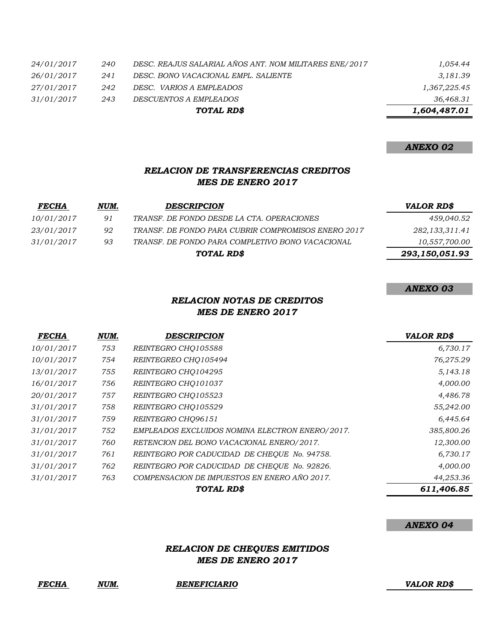|            |     | TOTAL RD\$                                             | 1,604,487.01 |
|------------|-----|--------------------------------------------------------|--------------|
| 31/01/2017 | 243 | DESCUENTOS A EMPLEADOS                                 | 36,468.31    |
| 27/01/2017 | 242 | DESC. VARIOS A EMPLEADOS                               | 1,367,225.45 |
| 26/01/2017 | 241 | DESC. BONO VACACIONAL EMPL. SALIENTE                   | 3,181.39     |
| 24/01/2017 | 240 | DESC. REAJUS SALARIAL AÑOS ANT. NOM MILITARES ENE/2017 | 1,054.44     |

### *ANEXO 02*

## *RELACION DE TRANSFERENCIAS CREDITOS MES DE ENERO 2017*

| <i>FECHA</i>      | NUM. | <b>DESCRIPCION</b>                                  | VALOR RD\$     |
|-------------------|------|-----------------------------------------------------|----------------|
| 10/01/2017        | 91   | TRANSF. DE FONDO DESDE LA CTA. OPERACIONES          | 459,040.52     |
| <i>23/01/2017</i> | 92   | TRANSF. DE FONDO PARA CUBRIR COMPROMISOS ENERO 2017 | 282,133,311.41 |
| 31/01/2017        | 93   | TRANSF. DE FONDO PARA COMPLETIVO BONO VACACIONAL    | 10,557,700.00  |
|                   |      | TOTAL RD\$                                          | 293,150,051.93 |

### *ANEXO 03*

## *RELACION NOTAS DE CREDITOS MES DE ENERO 2017*

| <b>FECHA</b> | NUM. | <b>DESCRIPCION</b>                              | <b>VALOR RD\$</b> |
|--------------|------|-------------------------------------------------|-------------------|
| 10/01/2017   | 753  | REINTEGRO CHQ105588                             | 6,730.17          |
| 10/01/2017   | 754  | REINTEGREO CHO105494                            | 76,275.29         |
| 13/01/2017   | 755  | REINTEGRO CHO104295                             | 5,143.18          |
| 16/01/2017   | 756  | REINTEGRO CHO101037                             | 4,000.00          |
| 20/01/2017   | 757  | REINTEGRO CHO105523                             | 4,486.78          |
| 31/01/2017   | 758  | REINTEGRO CHO105529                             | 55,242.00         |
| 31/01/2017   | 759  | REINTEGRO CHO96151                              | 6,445.64          |
| 31/01/2017   | 752  | EMPLEADOS EXCLUIDOS NOMINA ELECTRON ENERO/2017. | 385,800.26        |
| 31/01/2017   | 760  | RETENCION DEL BONO VACACIONAL ENERO/2017.       | 12,300.00         |
| 31/01/2017   | 761  | REINTEGRO POR CADUCIDAD DE CHEQUE No. 94758.    | 6,730.17          |
| 31/01/2017   | 762  | REINTEGRO POR CADUCIDAD DE CHEOUE No. 92826.    | 4,000.00          |
| 31/01/2017   | 763  | COMPENSACION DE IMPUESTOS EN ENERO AÑO 2017.    | 44,253.36         |
|              |      | TOTAL RD\$                                      | 611,406.85        |

#### *ANEXO 04*

### *RELACION DE CHEQUES EMITIDOS MES DE ENERO 2017*

## *FECHA NUM. BENEFICIARIO VALOR RD\$*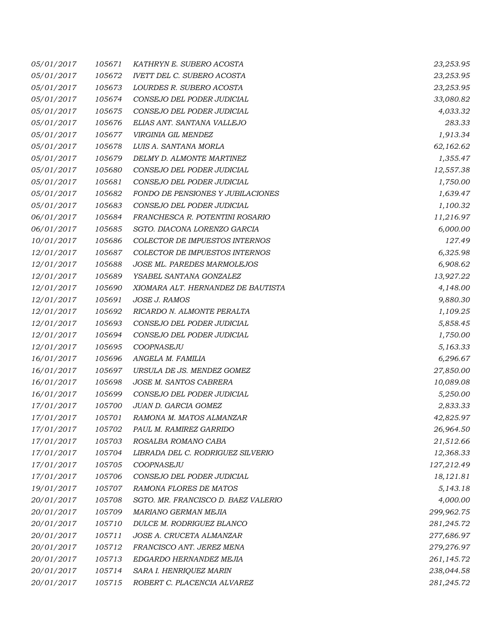| 05/01/2017        | 105671 | KATHRYN E. SUBERO ACOSTA            | 23,253.95  |
|-------------------|--------|-------------------------------------|------------|
| 05/01/2017        | 105672 | <b>IVETT DEL C. SUBERO ACOSTA</b>   | 23,253.95  |
| 05/01/2017        | 105673 | LOURDES R. SUBERO ACOSTA            | 23,253.95  |
| 05/01/2017        | 105674 | CONSEJO DEL PODER JUDICIAL          | 33,080.82  |
| 05/01/2017        | 105675 | CONSEJO DEL PODER JUDICIAL          | 4,033.32   |
| 05/01/2017        | 105676 | ELIAS ANT. SANTANA VALLEJO          | 283.33     |
| 05/01/2017        | 105677 | VIRGINIA GIL MENDEZ                 | 1,913.34   |
| 05/01/2017        | 105678 | LUIS A. SANTANA MORLA               | 62,162.62  |
| 05/01/2017        | 105679 | DELMY D. ALMONTE MARTINEZ           | 1,355.47   |
| 05/01/2017        | 105680 | CONSEJO DEL PODER JUDICIAL          | 12,557.38  |
| 05/01/2017        | 105681 | CONSEJO DEL PODER JUDICIAL          | 1,750.00   |
| 05/01/2017        | 105682 | FONDO DE PENSIONES Y JUBILACIONES   | 1,639.47   |
| 05/01/2017        | 105683 | CONSEJO DEL PODER JUDICIAL          | 1,100.32   |
| 06/01/2017        | 105684 | FRANCHESCA R. POTENTINI ROSARIO     | 11,216.97  |
| 06/01/2017        | 105685 | SGTO. DIACONA LORENZO GARCIA        | 6,000.00   |
| 10/01/2017        | 105686 | COLECTOR DE IMPUESTOS INTERNOS      | 127.49     |
| 12/01/2017        | 105687 | COLECTOR DE IMPUESTOS INTERNOS      | 6,325.98   |
| 12/01/2017        | 105688 | JOSE ML. PAREDES MARMOLEJOS         | 6,908.62   |
| 12/01/2017        | 105689 | YSABEL SANTANA GONZALEZ             | 13,927.22  |
| <i>12/01/2017</i> | 105690 | XIOMARA ALT. HERNANDEZ DE BAUTISTA  | 4,148.00   |
| 12/01/2017        | 105691 | JOSE J. RAMOS                       | 9,880.30   |
| 12/01/2017        | 105692 | RICARDO N. ALMONTE PERALTA          | 1,109.25   |
| 12/01/2017        | 105693 | CONSEJO DEL PODER JUDICIAL          | 5,858.45   |
| 12/01/2017        | 105694 | CONSEJO DEL PODER JUDICIAL          | 1,750.00   |
| 12/01/2017        | 105695 | COOPNASEJU                          | 5,163.33   |
| 16/01/2017        | 105696 | ANGELA M. FAMILIA                   | 6,296.67   |
| 16/01/2017        | 105697 | URSULA DE JS. MENDEZ GOMEZ          | 27,850.00  |
| 16/01/2017        | 105698 | JOSE M. SANTOS CABRERA              | 10,089.08  |
| 16/01/2017        | 105699 | CONSEJO DEL PODER JUDICIAL          | 5,250.00   |
| 17/01/2017        | 105700 | JUAN D. GARCIA GOMEZ                | 2,833.33   |
| 17/01/2017        | 105701 | RAMONA M. MATOS ALMANZAR            | 42,825.97  |
| 17/01/2017        | 105702 | PAUL M. RAMIREZ GARRIDO             | 26,964.50  |
| 17/01/2017        | 105703 | ROSALBA ROMANO CABA                 | 21,512.66  |
| 17/01/2017        | 105704 | LIBRADA DEL C. RODRIGUEZ SILVERIO   | 12,368.33  |
| 17/01/2017        | 105705 | COOPNASEJU                          | 127,212.49 |
| 17/01/2017        | 105706 | CONSEJO DEL PODER JUDICIAL          | 18,121.81  |
| 19/01/2017        | 105707 | <b>RAMONA FLORES DE MATOS</b>       | 5,143.18   |
| 20/01/2017        | 105708 | SGTO. MR. FRANCISCO D. BAEZ VALERIO | 4,000.00   |
| 20/01/2017        | 105709 | MARIANO GERMAN MEJIA                | 299,962.75 |
| 20/01/2017        | 105710 | DULCE M. RODRIGUEZ BLANCO           | 281,245.72 |
| 20/01/2017        | 105711 | JOSE A. CRUCETA ALMANZAR            | 277,686.97 |
| 20/01/2017        | 105712 | FRANCISCO ANT. JEREZ MENA           | 279,276.97 |
| 20/01/2017        | 105713 | EDGARDO HERNANDEZ MEJIA             | 261,145.72 |
| 20/01/2017        | 105714 | SARA I. HENRIQUEZ MARIN             | 238,044.58 |
| 20/01/2017        | 105715 | ROBERT C. PLACENCIA ALVAREZ         | 281,245.72 |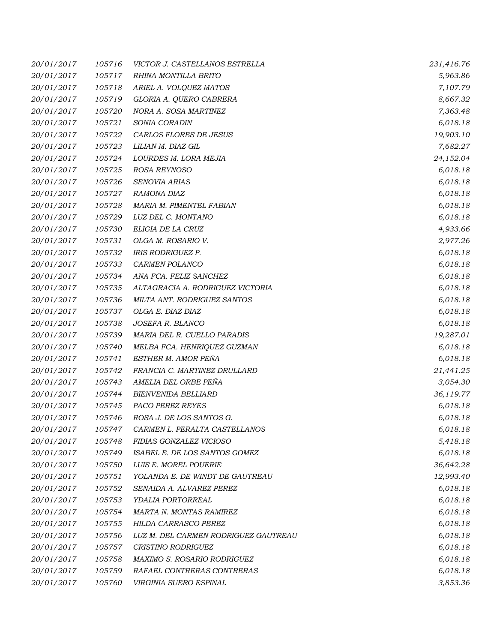| 20/01/2017 | 105716 | VICTOR J. CASTELLANOS ESTRELLA       | 231,416.76 |
|------------|--------|--------------------------------------|------------|
| 20/01/2017 | 105717 | RHINA MONTILLA BRITO                 | 5,963.86   |
| 20/01/2017 | 105718 | ARIEL A. VOLQUEZ MATOS               | 7,107.79   |
| 20/01/2017 | 105719 | GLORIA A. QUERO CABRERA              | 8,667.32   |
| 20/01/2017 | 105720 | NORA A. SOSA MARTINEZ                | 7,363.48   |
| 20/01/2017 | 105721 | SONIA CORADIN                        | 6,018.18   |
| 20/01/2017 | 105722 | CARLOS FLORES DE JESUS               | 19,903.10  |
| 20/01/2017 | 105723 | LILIAN M. DIAZ GIL                   | 7,682.27   |
| 20/01/2017 | 105724 | LOURDES M. LORA MEJIA                | 24,152.04  |
| 20/01/2017 | 105725 | ROSA REYNOSO                         | 6,018.18   |
| 20/01/2017 | 105726 | SENOVIA ARIAS                        | 6,018.18   |
| 20/01/2017 | 105727 | RAMONA DIAZ                          | 6,018.18   |
| 20/01/2017 | 105728 | MARIA M. PIMENTEL FABIAN             | 6,018.18   |
| 20/01/2017 | 105729 | LUZ DEL C. MONTANO                   | 6,018.18   |
| 20/01/2017 | 105730 | ELIGIA DE LA CRUZ                    | 4,933.66   |
| 20/01/2017 | 105731 | OLGA M. ROSARIO V.                   | 2,977.26   |
| 20/01/2017 | 105732 | IRIS RODRIGUEZ P.                    | 6,018.18   |
| 20/01/2017 | 105733 | CARMEN POLANCO                       | 6,018.18   |
| 20/01/2017 | 105734 | ANA FCA. FELIZ SANCHEZ               | 6,018.18   |
| 20/01/2017 | 105735 | ALTAGRACIA A. RODRIGUEZ VICTORIA     | 6,018.18   |
| 20/01/2017 | 105736 | MILTA ANT. RODRIGUEZ SANTOS          | 6,018.18   |
| 20/01/2017 | 105737 | OLGA E. DIAZ DIAZ                    | 6,018.18   |
| 20/01/2017 | 105738 | JOSEFA R. BLANCO                     | 6,018.18   |
| 20/01/2017 | 105739 | MARIA DEL R. CUELLO PARADIS          | 19,287.01  |
| 20/01/2017 | 105740 | MELBA FCA. HENRIQUEZ GUZMAN          | 6,018.18   |
| 20/01/2017 | 105741 | ESTHER M. AMOR PEÑA                  | 6,018.18   |
| 20/01/2017 | 105742 | FRANCIA C. MARTINEZ DRULLARD         | 21,441.25  |
| 20/01/2017 | 105743 | AMELIA DEL ORBE PEÑA                 | 3,054.30   |
| 20/01/2017 | 105744 | <b>BIENVENIDA BELLIARD</b>           | 36,119.77  |
| 20/01/2017 | 105745 | PACO PEREZ REYES                     | 6,018.18   |
| 20/01/2017 | 105746 | ROSA J. DE LOS SANTOS G.             | 6,018.18   |
| 20/01/2017 | 105747 | CARMEN L. PERALTA CASTELLANOS        | 6,018.18   |
| 20/01/2017 | 105748 | FIDIAS GONZALEZ VICIOSO              | 5,418.18   |
| 20/01/2017 | 105749 | ISABEL E. DE LOS SANTOS GOMEZ        | 6,018.18   |
| 20/01/2017 | 105750 | LUIS E. MOREL POUERIE                | 36,642.28  |
| 20/01/2017 | 105751 | YOLANDA E. DE WINDT DE GAUTREAU      | 12,993.40  |
| 20/01/2017 | 105752 | SENAIDA A. ALVAREZ PEREZ             | 6,018.18   |
| 20/01/2017 | 105753 | YDALIA PORTORREAL                    | 6,018.18   |
| 20/01/2017 | 105754 | MARTA N. MONTAS RAMIREZ              | 6,018.18   |
| 20/01/2017 | 105755 | HILDA CARRASCO PEREZ                 | 6,018.18   |
| 20/01/2017 | 105756 | LUZ M. DEL CARMEN RODRIGUEZ GAUTREAU | 6,018.18   |
| 20/01/2017 | 105757 | CRISTINO RODRIGUEZ                   | 6,018.18   |
| 20/01/2017 | 105758 | MAXIMO S. ROSARIO RODRIGUEZ          | 6,018.18   |
| 20/01/2017 | 105759 | RAFAEL CONTRERAS CONTRERAS           | 6,018.18   |
| 20/01/2017 | 105760 | VIRGINIA SUERO ESPINAL               | 3,853.36   |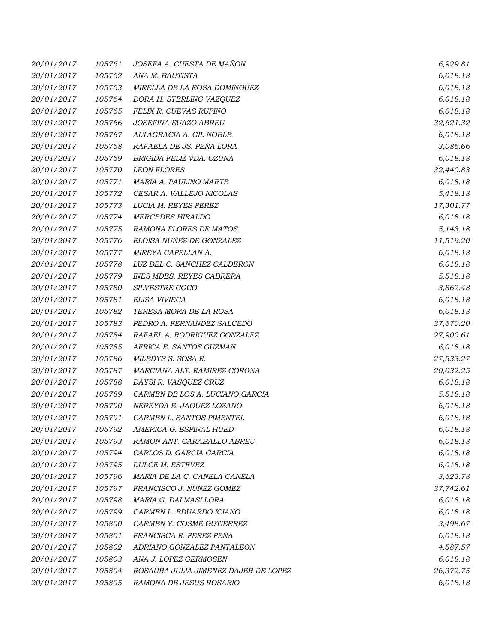| 20/01/2017 | 105761 | JOSEFA A. CUESTA DE MAÑON            | 6,929.81  |
|------------|--------|--------------------------------------|-----------|
| 20/01/2017 | 105762 | ANA M. BAUTISTA                      | 6,018.18  |
| 20/01/2017 | 105763 | MIRELLA DE LA ROSA DOMINGUEZ         | 6,018.18  |
| 20/01/2017 | 105764 | DORA H. STERLING VAZQUEZ             | 6,018.18  |
| 20/01/2017 | 105765 | FELIX R. CUEVAS RUFINO               | 6,018.18  |
| 20/01/2017 | 105766 | <b>JOSEFINA SUAZO ABREU</b>          | 32,621.32 |
| 20/01/2017 | 105767 | ALTAGRACIA A. GIL NOBLE              | 6,018.18  |
| 20/01/2017 | 105768 | RAFAELA DE JS. PEÑA LORA             | 3,086.66  |
| 20/01/2017 | 105769 | BRIGIDA FELIZ VDA. OZUNA             | 6,018.18  |
| 20/01/2017 | 105770 | <b>LEON FLORES</b>                   | 32,440.83 |
| 20/01/2017 | 105771 | MARIA A. PAULINO MARTE               | 6,018.18  |
| 20/01/2017 | 105772 | CESAR A. VALLEJO NICOLAS             | 5,418.18  |
| 20/01/2017 | 105773 | LUCIA M. REYES PEREZ                 | 17,301.77 |
| 20/01/2017 | 105774 | <b>MERCEDES HIRALDO</b>              | 6,018.18  |
| 20/01/2017 | 105775 | RAMONA FLORES DE MATOS               | 5,143.18  |
| 20/01/2017 | 105776 | ELOISA NUÑEZ DE GONZALEZ             | 11,519.20 |
| 20/01/2017 | 105777 | MIREYA CAPELLAN A.                   | 6,018.18  |
| 20/01/2017 | 105778 | LUZ DEL C. SANCHEZ CALDERON          | 6,018.18  |
| 20/01/2017 | 105779 | <b>INES MDES. REYES CABRERA</b>      | 5,518.18  |
| 20/01/2017 | 105780 | SILVESTRE COCO                       | 3,862.48  |
| 20/01/2017 | 105781 | ELISA VIVIECA                        | 6,018.18  |
| 20/01/2017 | 105782 | TERESA MORA DE LA ROSA               | 6,018.18  |
| 20/01/2017 | 105783 | PEDRO A. FERNANDEZ SALCEDO           | 37,670.20 |
| 20/01/2017 | 105784 | RAFAEL A. RODRIGUEZ GONZALEZ         | 27,900.61 |
| 20/01/2017 | 105785 | AFRICA E. SANTOS GUZMAN              | 6,018.18  |
| 20/01/2017 | 105786 | MILEDYS S. SOSA R.                   | 27,533.27 |
| 20/01/2017 | 105787 | MARCIANA ALT. RAMIREZ CORONA         | 20,032.25 |
| 20/01/2017 | 105788 | DAYSI R. VASQUEZ CRUZ                | 6,018.18  |
| 20/01/2017 | 105789 | CARMEN DE LOS A. LUCIANO GARCIA      | 5,518.18  |
| 20/01/2017 | 105790 | NEREYDA E. JAQUEZ LOZANO             | 6,018.18  |
| 20/01/2017 | 105791 | CARMEN L. SANTOS PIMENTEL            | 6,018.18  |
| 20/01/2017 | 105792 | AMERICA G. ESPINAL HUED              | 6,018.18  |
| 20/01/2017 | 105793 | RAMON ANT. CARABALLO ABREU           | 6,018.18  |
| 20/01/2017 | 105794 | CARLOS D. GARCIA GARCIA              | 6,018.18  |
| 20/01/2017 | 105795 | DULCE M. ESTEVEZ                     | 6,018.18  |
| 20/01/2017 | 105796 | MARIA DE LA C. CANELA CANELA         | 3,623.78  |
| 20/01/2017 | 105797 | FRANCISCO J. NUÑEZ GOMEZ             | 37,742.61 |
| 20/01/2017 | 105798 | MARIA G. DALMASI LORA                | 6,018.18  |
| 20/01/2017 | 105799 | CARMEN L. EDUARDO ICIANO             | 6,018.18  |
| 20/01/2017 | 105800 | CARMEN Y. COSME GUTIERREZ            | 3,498.67  |
| 20/01/2017 | 105801 | FRANCISCA R. PEREZ PEÑA              | 6,018.18  |
| 20/01/2017 | 105802 | ADRIANO GONZALEZ PANTALEON           | 4,587.57  |
| 20/01/2017 | 105803 | ANA J. LOPEZ GERMOSEN                | 6,018.18  |
| 20/01/2017 | 105804 | ROSAURA JULIA JIMENEZ DAJER DE LOPEZ | 26,372.75 |
| 20/01/2017 | 105805 | RAMONA DE JESUS ROSARIO              | 6,018.18  |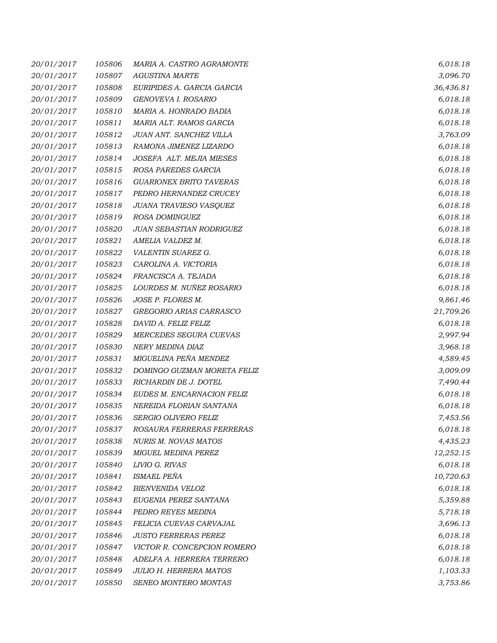| 20/01/2017 | 105806 | MARIA A. CASTRO AGRAMONTE       | 6,018.18  |
|------------|--------|---------------------------------|-----------|
| 20/01/2017 | 105807 | <b>AGUSTINA MARTE</b>           | 3,096.70  |
| 20/01/2017 | 105808 | EURIPIDES A. GARCIA GARCIA      | 36,436.81 |
| 20/01/2017 | 105809 | GENOVEVA I. ROSARIO             | 6,018.18  |
| 20/01/2017 | 105810 | MARIA A. HONRADO BADIA          | 6,018.18  |
| 20/01/2017 | 105811 | MARIA ALT. RAMOS GARCIA         | 6,018.18  |
| 20/01/2017 | 105812 | JUAN ANT. SANCHEZ VILLA         | 3,763.09  |
| 20/01/2017 | 105813 | RAMONA JIMENEZ LIZARDO          | 6,018.18  |
| 20/01/2017 | 105814 | JOSEFA ALT. MEJIA MIESES        | 6,018.18  |
| 20/01/2017 | 105815 | ROSA PAREDES GARCIA             | 6,018.18  |
| 20/01/2017 | 105816 | <b>GUARIONEX BRITO TAVERAS</b>  | 6,018.18  |
| 20/01/2017 | 105817 | PEDRO HERNANDEZ CRUCEY          | 6,018.18  |
| 20/01/2017 | 105818 | JUANA TRAVIESO VASQUEZ          | 6,018.18  |
| 20/01/2017 | 105819 | ROSA DOMINGUEZ                  | 6,018.18  |
| 20/01/2017 | 105820 | <b>JUAN SEBASTIAN RODRIGUEZ</b> | 6,018.18  |
| 20/01/2017 | 105821 | AMELIA VALDEZ M.                | 6,018.18  |
| 20/01/2017 | 105822 | VALENTIN SUAREZ G.              | 6,018.18  |
| 20/01/2017 | 105823 | CAROLINA A. VICTORIA            | 6,018.18  |
| 20/01/2017 | 105824 | FRANCISCA A. TEJADA             | 6,018.18  |
| 20/01/2017 | 105825 | LOURDES M. NUÑEZ ROSARIO        | 6,018.18  |
| 20/01/2017 | 105826 | JOSE P. FLORES M.               | 9,861.46  |
| 20/01/2017 | 105827 | GREGORIO ARIAS CARRASCO         | 21,709.26 |
| 20/01/2017 | 105828 | DAVID A. FELIZ FELIZ            | 6,018.18  |
| 20/01/2017 | 105829 | MERCEDES SEGURA CUEVAS          | 2,997.94  |
| 20/01/2017 | 105830 | NERY MEDINA DIAZ                | 3,968.18  |
| 20/01/2017 | 105831 | MIGUELINA PEÑA MENDEZ           | 4,589.45  |
| 20/01/2017 | 105832 | DOMINGO GUZMAN MORETA FELIZ     | 3,009.09  |
| 20/01/2017 | 105833 | RICHARDIN DE J. DOTEL           | 7,490.44  |
| 20/01/2017 | 105834 | EUDES M. ENCARNACION FELIZ      | 6,018.18  |
| 20/01/2017 | 105835 | NEREIDA FLORIAN SANTANA         | 6,018.18  |
| 20/01/2017 | 105836 | SERGIO OLIVERO FELIZ            | 7,453.56  |
| 20/01/2017 | 105837 | ROSAURA FERRERAS FERRERAS       | 6,018.18  |
| 20/01/2017 | 105838 | <b>NURIS M. NOVAS MATOS</b>     | 4,435.23  |
| 20/01/2017 | 105839 | MIGUEL MEDINA PEREZ             | 12,252.15 |
| 20/01/2017 | 105840 | LIVIO G. RIVAS                  | 6,018.18  |
| 20/01/2017 | 105841 | <b>ISMAEL PEÑA</b>              | 10,720.63 |
| 20/01/2017 | 105842 | <b>BIENVENIDA VELOZ</b>         | 6,018.18  |
| 20/01/2017 | 105843 | EUGENIA PEREZ SANTANA           | 5,359.88  |
| 20/01/2017 | 105844 | PEDRO REYES MEDINA              | 5,718.18  |
| 20/01/2017 | 105845 | FELICIA CUEVAS CARVAJAL         | 3,696.13  |
| 20/01/2017 | 105846 | <b>JUSTO FERRERAS PEREZ</b>     | 6,018.18  |
| 20/01/2017 | 105847 | VICTOR R. CONCEPCION ROMERO     | 6,018.18  |
| 20/01/2017 | 105848 | ADELFA A. HERRERA TERRERO       | 6,018.18  |
| 20/01/2017 | 105849 | <b>JULIO H. HERRERA MATOS</b>   | 1,103.33  |
| 20/01/2017 | 105850 | SENEO MONTERO MONTAS            | 3,753.86  |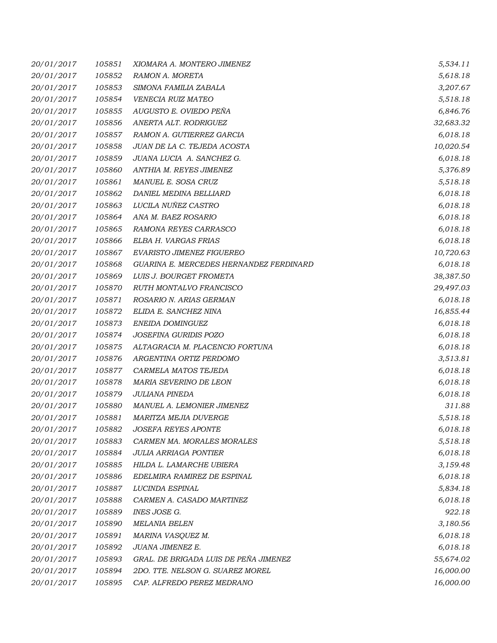| 20/01/2017 | 105851 | XIOMARA A. MONTERO JIMENEZ              | 5,534.11  |
|------------|--------|-----------------------------------------|-----------|
| 20/01/2017 | 105852 | RAMON A. MORETA                         | 5,618.18  |
| 20/01/2017 | 105853 | SIMONA FAMILIA ZABALA                   | 3,207.67  |
| 20/01/2017 | 105854 | VENECIA RUIZ MATEO                      | 5,518.18  |
| 20/01/2017 | 105855 | AUGUSTO E. OVIEDO PEÑA                  | 6,846.76  |
| 20/01/2017 | 105856 | ANERTA ALT. RODRIGUEZ                   | 32,683.32 |
| 20/01/2017 | 105857 | RAMON A. GUTIERREZ GARCIA               | 6,018.18  |
| 20/01/2017 | 105858 | JUAN DE LA C. TEJEDA ACOSTA             | 10,020.54 |
| 20/01/2017 | 105859 | JUANA LUCIA A. SANCHEZ G.               | 6,018.18  |
| 20/01/2017 | 105860 | ANTHIA M. REYES JIMENEZ                 | 5,376.89  |
| 20/01/2017 | 105861 | MANUEL E. SOSA CRUZ                     | 5,518.18  |
| 20/01/2017 | 105862 | DANIEL MEDINA BELLIARD                  | 6,018.18  |
| 20/01/2017 | 105863 | LUCILA NUÑEZ CASTRO                     | 6,018.18  |
| 20/01/2017 | 105864 | ANA M. BAEZ ROSARIO                     | 6,018.18  |
| 20/01/2017 | 105865 | RAMONA REYES CARRASCO                   | 6,018.18  |
| 20/01/2017 | 105866 | ELBA H. VARGAS FRIAS                    | 6,018.18  |
| 20/01/2017 | 105867 | EVARISTO JIMENEZ FIGUEREO               | 10,720.63 |
| 20/01/2017 | 105868 | GUARINA E. MERCEDES HERNANDEZ FERDINARD | 6,018.18  |
| 20/01/2017 | 105869 | LUIS J. BOURGET FROMETA                 | 38,387.50 |
| 20/01/2017 | 105870 | RUTH MONTALVO FRANCISCO                 | 29,497.03 |
| 20/01/2017 | 105871 | ROSARIO N. ARIAS GERMAN                 | 6,018.18  |
| 20/01/2017 | 105872 | ELIDA E. SANCHEZ NINA                   | 16,855.44 |
| 20/01/2017 | 105873 | ENEIDA DOMINGUEZ                        | 6,018.18  |
| 20/01/2017 | 105874 | JOSEFINA GURIDIS POZO                   | 6,018.18  |
| 20/01/2017 | 105875 | ALTAGRACIA M. PLACENCIO FORTUNA         | 6,018.18  |
| 20/01/2017 | 105876 | ARGENTINA ORTIZ PERDOMO                 | 3,513.81  |
| 20/01/2017 | 105877 | CARMELA MATOS TEJEDA                    | 6,018.18  |
| 20/01/2017 | 105878 | MARIA SEVERINO DE LEON                  | 6,018.18  |
| 20/01/2017 | 105879 | JULIANA PINEDA                          | 6,018.18  |
| 20/01/2017 | 105880 | MANUEL A. LEMONIER JIMENEZ              | 311.88    |
| 20/01/2017 | 105881 | MARITZA MEJIA DUVERGE                   | 5,518.18  |
| 20/01/2017 | 105882 | <i>JOSEFA REYES APONTE</i>              | 6,018.18  |
| 20/01/2017 | 105883 | CARMEN MA. MORALES MORALES              | 5,518.18  |
| 20/01/2017 | 105884 | <b>JULIA ARRIAGA PONTIER</b>            | 6,018.18  |
| 20/01/2017 | 105885 | HILDA L. LAMARCHE UBIERA                | 3,159.48  |
| 20/01/2017 | 105886 | EDELMIRA RAMIREZ DE ESPINAL             | 6,018.18  |
| 20/01/2017 | 105887 | LUCINDA ESPINAL                         | 5,834.18  |
| 20/01/2017 | 105888 | CARMEN A. CASADO MARTINEZ               | 6,018.18  |
| 20/01/2017 | 105889 | INES JOSE G.                            | 922.18    |
| 20/01/2017 | 105890 | <b>MELANIA BELEN</b>                    | 3,180.56  |
| 20/01/2017 | 105891 | MARINA VASQUEZ M.                       | 6,018.18  |
| 20/01/2017 | 105892 | JUANA JIMENEZ E.                        | 6,018.18  |
| 20/01/2017 | 105893 | GRAL. DE BRIGADA LUIS DE PEÑA JIMENEZ   | 55,674.02 |
| 20/01/2017 | 105894 | 2DO. TTE. NELSON G. SUAREZ MOREL        | 16,000.00 |
| 20/01/2017 | 105895 | CAP. ALFREDO PEREZ MEDRANO              | 16,000.00 |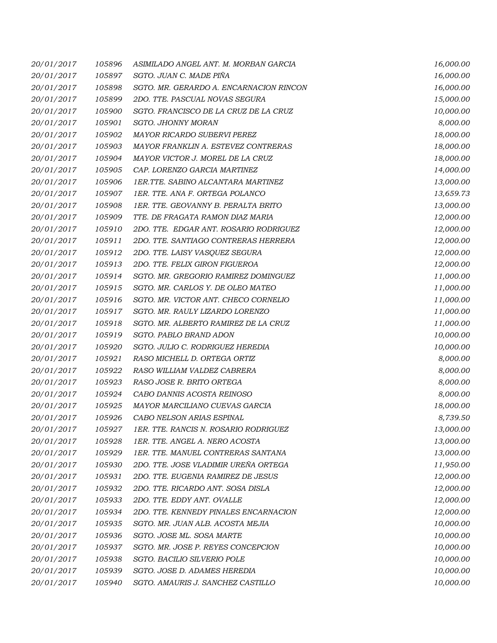| 20/01/2017 | 105896 | ASIMILADO ANGEL ANT. M. MORBAN GARCIA   | 16,000.00 |
|------------|--------|-----------------------------------------|-----------|
| 20/01/2017 | 105897 | SGTO. JUAN C. MADE PIÑA                 | 16,000.00 |
| 20/01/2017 | 105898 | SGTO. MR. GERARDO A. ENCARNACION RINCON | 16,000.00 |
| 20/01/2017 | 105899 | 2DO. TTE. PASCUAL NOVAS SEGURA          | 15,000.00 |
| 20/01/2017 | 105900 | SGTO. FRANCISCO DE LA CRUZ DE LA CRUZ   | 10,000.00 |
| 20/01/2017 | 105901 | SGTO. JHONNY MORAN                      | 8,000.00  |
| 20/01/2017 | 105902 | MAYOR RICARDO SUBERVI PEREZ             | 18,000.00 |
| 20/01/2017 | 105903 | MAYOR FRANKLIN A. ESTEVEZ CONTRERAS     | 18,000.00 |
| 20/01/2017 | 105904 | MAYOR VICTOR J. MOREL DE LA CRUZ        | 18,000.00 |
| 20/01/2017 | 105905 | CAP. LORENZO GARCIA MARTINEZ            | 14,000.00 |
| 20/01/2017 | 105906 | 1ER.TTE. SABINO ALCANTARA MARTINEZ      | 13,000.00 |
| 20/01/2017 | 105907 | 1ER. TTE. ANA F. ORTEGA POLANCO         | 13,659.73 |
| 20/01/2017 | 105908 | 1ER. TTE. GEOVANNY B. PERALTA BRITO     | 13,000.00 |
| 20/01/2017 | 105909 | TTE. DE FRAGATA RAMON DIAZ MARIA        | 12,000.00 |
| 20/01/2017 | 105910 | 2DO. TTE. EDGAR ANT. ROSARIO RODRIGUEZ  | 12,000.00 |
| 20/01/2017 | 105911 | 2DO. TTE. SANTIAGO CONTRERAS HERRERA    | 12,000.00 |
| 20/01/2017 | 105912 | 2DO. TTE. LAISY VASQUEZ SEGURA          | 12,000.00 |
| 20/01/2017 | 105913 | 2DO. TTE. FELIX GIRON FIGUEROA          | 12,000.00 |
| 20/01/2017 | 105914 | SGTO. MR. GREGORIO RAMIREZ DOMINGUEZ    | 11,000.00 |
| 20/01/2017 | 105915 | SGTO. MR. CARLOS Y. DE OLEO MATEO       | 11,000.00 |
| 20/01/2017 | 105916 | SGTO. MR. VICTOR ANT. CHECO CORNELIO    | 11,000.00 |
| 20/01/2017 | 105917 | SGTO. MR. RAULY LIZARDO LORENZO         | 11,000.00 |
| 20/01/2017 | 105918 | SGTO. MR. ALBERTO RAMIREZ DE LA CRUZ    | 11,000.00 |
| 20/01/2017 | 105919 | SGTO. PABLO BRAND ADON                  | 10,000.00 |
| 20/01/2017 | 105920 | SGTO. JULIO C. RODRIGUEZ HEREDIA        | 10,000.00 |
| 20/01/2017 | 105921 | RASO MICHELL D. ORTEGA ORTIZ            | 8,000.00  |
| 20/01/2017 | 105922 | RASO WILLIAM VALDEZ CABRERA             | 8,000.00  |
| 20/01/2017 | 105923 | RASO JOSE R. BRITO ORTEGA               | 8,000.00  |
| 20/01/2017 | 105924 | CABO DANNIS ACOSTA REINOSO              | 8,000.00  |
| 20/01/2017 | 105925 | MAYOR MARCILIANO CUEVAS GARCIA          | 18,000.00 |
| 20/01/2017 | 105926 | CABO NELSON ARIAS ESPINAL               | 8,739.50  |
| 20/01/2017 | 105927 | 1ER. TTE. RANCIS N. ROSARIO RODRIGUEZ   | 13,000.00 |
| 20/01/2017 | 105928 | 1ER. TTE. ANGEL A. NERO ACOSTA          | 13,000.00 |
| 20/01/2017 | 105929 | 1ER. TTE. MANUEL CONTRERAS SANTANA      | 13,000.00 |
| 20/01/2017 | 105930 | 2DO. TTE. JOSE VLADIMIR UREÑA ORTEGA    | 11,950.00 |
| 20/01/2017 | 105931 | 2DO. TTE. EUGENIA RAMIREZ DE JESUS      | 12,000.00 |
| 20/01/2017 | 105932 | 2DO. TTE. RICARDO ANT. SOSA DISLA       | 12,000.00 |
| 20/01/2017 | 105933 | 2DO. TTE. EDDY ANT. OVALLE              | 12,000.00 |
| 20/01/2017 | 105934 | 2DO. TTE. KENNEDY PINALES ENCARNACION   | 12,000.00 |
| 20/01/2017 | 105935 | SGTO. MR. JUAN ALB. ACOSTA MEJIA        | 10,000.00 |
| 20/01/2017 | 105936 | SGTO. JOSE ML. SOSA MARTE               | 10,000.00 |
| 20/01/2017 | 105937 | SGTO. MR. JOSE P. REYES CONCEPCION      | 10,000.00 |
| 20/01/2017 | 105938 | SGTO. BACILIO SILVERIO POLE             | 10,000.00 |
| 20/01/2017 | 105939 | SGTO. JOSE D. ADAMES HEREDIA            | 10,000.00 |
| 20/01/2017 | 105940 | SGTO. AMAURIS J. SANCHEZ CASTILLO       | 10,000.00 |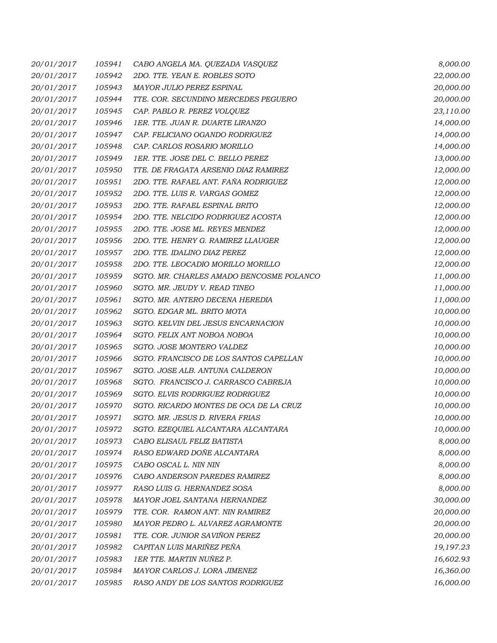| 20/01/2017 | 105941 | CABO ANGELA MA. QUEZADA VASQUEZ          | 8,000.00  |
|------------|--------|------------------------------------------|-----------|
| 20/01/2017 | 105942 | 2DO. TTE. YEAN E. ROBLES SOTO            | 22,000.00 |
| 20/01/2017 | 105943 | MAYOR JULIO PEREZ ESPINAL                | 20,000.00 |
| 20/01/2017 | 105944 | TTE. COR. SECUNDINO MERCEDES PEGUERO     | 20,000.00 |
| 20/01/2017 | 105945 | CAP. PABLO R. PEREZ VOLQUEZ              | 23,110.00 |
| 20/01/2017 | 105946 | 1ER. TTE. JUAN R. DUARTE LIRANZO         | 14,000.00 |
| 20/01/2017 | 105947 | CAP. FELICIANO OGANDO RODRIGUEZ          | 14,000.00 |
| 20/01/2017 | 105948 | CAP. CARLOS ROSARIO MORILLO              | 14,000.00 |
| 20/01/2017 | 105949 | 1ER. TTE. JOSE DEL C. BELLO PEREZ        | 13,000.00 |
| 20/01/2017 | 105950 | TTE. DE FRAGATA ARSENIO DIAZ RAMIREZ     | 12,000.00 |
| 20/01/2017 | 105951 | 2DO. TTE. RAFAEL ANT. FAÑA RODRIGUEZ     | 12,000.00 |
| 20/01/2017 | 105952 | 2DO. TTE. LUIS R. VARGAS GOMEZ           | 12,000.00 |
| 20/01/2017 | 105953 | 2DO. TTE. RAFAEL ESPINAL BRITO           | 12,000.00 |
| 20/01/2017 | 105954 | 2DO. TTE. NELCIDO RODRIGUEZ ACOSTA       | 12,000.00 |
| 20/01/2017 | 105955 | 2DO. TTE. JOSE ML. REYES MENDEZ          | 12,000.00 |
| 20/01/2017 | 105956 | 2DO. TTE. HENRY G. RAMIREZ LLAUGER       | 12,000.00 |
| 20/01/2017 | 105957 | 2DO. TTE. IDALINO DIAZ PEREZ             | 12,000.00 |
| 20/01/2017 | 105958 | 2DO. TTE. LEOCADIO MORILLO MORILLO       | 12,000.00 |
| 20/01/2017 | 105959 | SGTO. MR. CHARLES AMADO BENCOSME POLANCO | 11,000.00 |
| 20/01/2017 | 105960 | SGTO. MR. JEUDY V. READ TINEO            | 11,000.00 |
| 20/01/2017 | 105961 | SGTO. MR. ANTERO DECENA HEREDIA          | 11,000.00 |
| 20/01/2017 | 105962 | SGTO. EDGAR ML. BRITO MOTA               | 10,000.00 |
| 20/01/2017 | 105963 | SGTO. KELVIN DEL JESUS ENCARNACION       | 10,000.00 |
| 20/01/2017 | 105964 | SGTO. FELIX ANT NOBOA NOBOA              | 10,000.00 |
| 20/01/2017 | 105965 | SGTO. JOSE MONTERO VALDEZ                | 10,000.00 |
| 20/01/2017 | 105966 | SGTO. FRANCISCO DE LOS SANTOS CAPELLAN   | 10,000.00 |
| 20/01/2017 | 105967 | SGTO. JOSE ALB. ANTUNA CALDERON          | 10,000.00 |
| 20/01/2017 | 105968 | SGTO. FRANCISCO J. CARRASCO CABREJA      | 10,000.00 |
| 20/01/2017 | 105969 | SGTO. ELVIS RODRIGUEZ RODRIGUEZ          | 10,000.00 |
| 20/01/2017 | 105970 | SGTO. RICARDO MONTES DE OCA DE LA CRUZ   | 10,000.00 |
| 20/01/2017 | 105971 | SGTO. MR. JESUS D. RIVERA FRIAS          | 10,000.00 |
| 20/01/2017 | 105972 | SGTO. EZEQUIEL ALCANTARA ALCANTARA       | 10,000.00 |
| 20/01/2017 | 105973 | CABO ELISAUL FELIZ BATISTA               | 8,000.00  |
| 20/01/2017 | 105974 | RASO EDWARD DOÑE ALCANTARA               | 8,000.00  |
| 20/01/2017 | 105975 | CABO OSCAL L. NIN NIN                    | 8,000.00  |
| 20/01/2017 | 105976 | CABO ANDERSON PAREDES RAMIREZ            | 8,000.00  |
| 20/01/2017 | 105977 | RASO LUIS G. HERNANDEZ SOSA              | 8,000.00  |
| 20/01/2017 | 105978 | MAYOR JOEL SANTANA HERNANDEZ             | 30,000.00 |
| 20/01/2017 | 105979 | TTE. COR. RAMON ANT. NIN RAMIREZ         | 20,000.00 |
| 20/01/2017 | 105980 | MAYOR PEDRO L. ALVAREZ AGRAMONTE         | 20,000.00 |
| 20/01/2017 | 105981 | TTE. COR. JUNIOR SAVIÑON PEREZ           | 20,000.00 |
| 20/01/2017 | 105982 | CAPITAN LUIS MARIÑEZ PEÑA                | 19,197.23 |
| 20/01/2017 | 105983 | 1ER TTE. MARTIN NUÑEZ P.                 | 16,602.93 |
| 20/01/2017 | 105984 | MAYOR CARLOS J. LORA JIMENEZ             | 16,360.00 |
| 20/01/2017 | 105985 | RASO ANDY DE LOS SANTOS RODRIGUEZ        | 16,000.00 |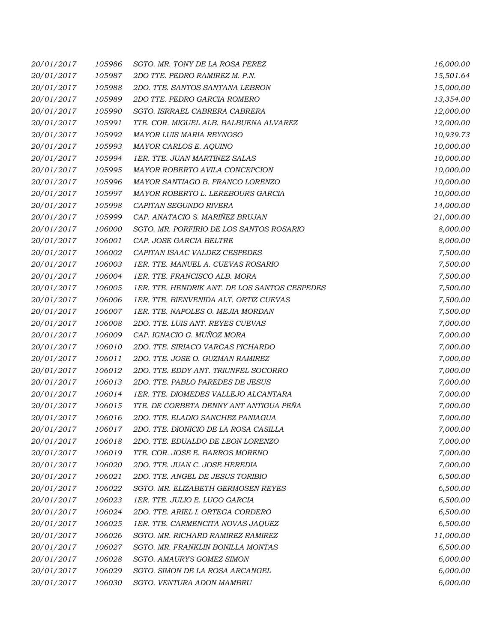| 20/01/2017 | 105986 | SGTO. MR. TONY DE LA ROSA PEREZ               | 16,000.00 |
|------------|--------|-----------------------------------------------|-----------|
| 20/01/2017 | 105987 | 2DO TTE. PEDRO RAMIREZ M. P.N.                | 15,501.64 |
| 20/01/2017 | 105988 | 2DO. TTE. SANTOS SANTANA LEBRON               | 15,000.00 |
| 20/01/2017 | 105989 | 2DO TTE. PEDRO GARCIA ROMERO                  | 13,354.00 |
| 20/01/2017 | 105990 | SGTO. ISRRAEL CABRERA CABRERA                 | 12,000.00 |
| 20/01/2017 | 105991 | TTE. COR. MIGUEL ALB. BALBUENA ALVAREZ        | 12,000.00 |
| 20/01/2017 | 105992 | MAYOR LUIS MARIA REYNOSO                      | 10,939.73 |
| 20/01/2017 | 105993 | MAYOR CARLOS E. AQUINO                        | 10,000.00 |
| 20/01/2017 | 105994 | 1ER. TTE. JUAN MARTINEZ SALAS                 | 10,000.00 |
| 20/01/2017 | 105995 | MAYOR ROBERTO AVILA CONCEPCION                | 10,000.00 |
| 20/01/2017 | 105996 | MAYOR SANTIAGO B. FRANCO LORENZO              | 10,000.00 |
| 20/01/2017 | 105997 | MAYOR ROBERTO L. LEREBOURS GARCIA             | 10,000.00 |
| 20/01/2017 | 105998 | CAPITAN SEGUNDO RIVERA                        | 14,000.00 |
| 20/01/2017 | 105999 | CAP. ANATACIO S. MARIÑEZ BRUJAN               | 21,000.00 |
| 20/01/2017 | 106000 | SGTO. MR. PORFIRIO DE LOS SANTOS ROSARIO      | 8,000.00  |
| 20/01/2017 | 106001 | CAP. JOSE GARCIA BELTRE                       | 8,000.00  |
| 20/01/2017 | 106002 | CAPITAN ISAAC VALDEZ CESPEDES                 | 7,500.00  |
| 20/01/2017 | 106003 | 1ER. TTE. MANUEL A. CUEVAS ROSARIO            | 7,500.00  |
| 20/01/2017 | 106004 | 1ER. TTE. FRANCISCO ALB. MORA                 | 7,500.00  |
| 20/01/2017 | 106005 | 1ER. TTE. HENDRIK ANT. DE LOS SANTOS CESPEDES | 7,500.00  |
| 20/01/2017 | 106006 | 1ER. TTE. BIENVENIDA ALT. ORTIZ CUEVAS        | 7,500.00  |
| 20/01/2017 | 106007 | 1ER. TTE. NAPOLES O. MEJIA MORDAN             | 7,500.00  |
| 20/01/2017 | 106008 | 2DO. TTE. LUIS ANT. REYES CUEVAS              | 7,000.00  |
| 20/01/2017 | 106009 | CAP. IGNACIO G. MUÑOZ MORA                    | 7,000.00  |
| 20/01/2017 | 106010 | 2DO. TTE. SIRIACO VARGAS PICHARDO             | 7,000.00  |
| 20/01/2017 | 106011 | 2DO. TTE. JOSE O. GUZMAN RAMIREZ              | 7,000.00  |
| 20/01/2017 | 106012 | 2DO. TTE. EDDY ANT. TRIUNFEL SOCORRO          | 7,000.00  |
| 20/01/2017 | 106013 | 2DO. TTE. PABLO PAREDES DE JESUS              | 7,000.00  |
| 20/01/2017 | 106014 | 1ER. TTE. DIOMEDES VALLEJO ALCANTARA          | 7,000.00  |
| 20/01/2017 | 106015 | TTE. DE CORBETA DENNY ANT ANTIGUA PEÑA        | 7,000.00  |
| 20/01/2017 | 106016 | 2DO. TTE. ELADIO SANCHEZ PANIAGUA             | 7,000.00  |
| 20/01/2017 | 106017 | 2DO. TTE. DIONICIO DE LA ROSA CASILLA         | 7,000.00  |
| 20/01/2017 | 106018 | 2DO. TTE. EDUALDO DE LEON LORENZO             | 7,000.00  |
| 20/01/2017 | 106019 | TTE. COR. JOSE E. BARROS MORENO               | 7,000.00  |
| 20/01/2017 | 106020 | 2DO. TTE. JUAN C. JOSE HEREDIA                | 7,000.00  |
| 20/01/2017 | 106021 | 2DO. TTE. ANGEL DE JESUS TORIBIO              | 6,500.00  |
| 20/01/2017 | 106022 | SGTO. MR. ELIZABETH GERMOSEN REYES            | 6,500.00  |
| 20/01/2017 | 106023 | 1ER. TTE. JULIO E. LUGO GARCIA                | 6,500.00  |
| 20/01/2017 | 106024 | 2DO. TTE. ARIEL I. ORTEGA CORDERO             | 6,500.00  |
| 20/01/2017 | 106025 | 1ER. TTE. CARMENCITA NOVAS JAQUEZ             | 6,500.00  |
| 20/01/2017 | 106026 | SGTO. MR. RICHARD RAMIREZ RAMIREZ             | 11,000.00 |
| 20/01/2017 | 106027 | SGTO. MR. FRANKLIN BONILLA MONTAS             | 6,500.00  |
| 20/01/2017 | 106028 | SGTO. AMAURYS GOMEZ SIMON                     | 6,000.00  |
| 20/01/2017 | 106029 | SGTO. SIMON DE LA ROSA ARCANGEL               | 6,000.00  |
| 20/01/2017 | 106030 | SGTO. VENTURA ADON MAMBRU                     | 6,000.00  |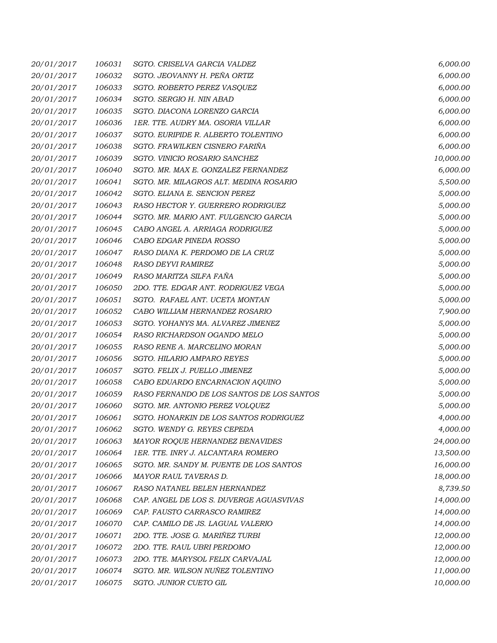| 20/01/2017 | 106031 | SGTO. CRISELVA GARCIA VALDEZ              | 6,000.00  |
|------------|--------|-------------------------------------------|-----------|
| 20/01/2017 | 106032 | SGTO. JEOVANNY H. PEÑA ORTIZ              | 6,000.00  |
| 20/01/2017 | 106033 | SGTO. ROBERTO PEREZ VASQUEZ               | 6,000.00  |
| 20/01/2017 | 106034 | SGTO. SERGIO H. NIN ABAD                  | 6,000.00  |
| 20/01/2017 | 106035 | SGTO. DIACONA LORENZO GARCIA              | 6,000.00  |
| 20/01/2017 | 106036 | 1ER. TTE. AUDRY MA. OSORIA VILLAR         | 6,000.00  |
| 20/01/2017 | 106037 | SGTO. EURIPIDE R. ALBERTO TOLENTINO       | 6,000.00  |
| 20/01/2017 | 106038 | SGTO. FRAWILKEN CISNERO FARIÑA            | 6,000.00  |
| 20/01/2017 | 106039 | SGTO. VINICIO ROSARIO SANCHEZ             | 10,000.00 |
| 20/01/2017 | 106040 | SGTO. MR. MAX E. GONZALEZ FERNANDEZ       | 6,000.00  |
| 20/01/2017 | 106041 | SGTO. MR. MILAGROS ALT. MEDINA ROSARIO    | 5,500.00  |
| 20/01/2017 | 106042 | SGTO. ELIANA E. SENCION PEREZ             | 5,000.00  |
| 20/01/2017 | 106043 | RASO HECTOR Y. GUERRERO RODRIGUEZ         | 5,000.00  |
| 20/01/2017 | 106044 | SGTO. MR. MARIO ANT. FULGENCIO GARCIA     | 5,000.00  |
| 20/01/2017 | 106045 | CABO ANGEL A. ARRIAGA RODRIGUEZ           | 5,000.00  |
| 20/01/2017 | 106046 | CABO EDGAR PINEDA ROSSO                   | 5,000.00  |
| 20/01/2017 | 106047 | RASO DIANA K. PERDOMO DE LA CRUZ          | 5,000.00  |
| 20/01/2017 | 106048 | RASO DEYVI RAMIREZ                        | 5,000.00  |
| 20/01/2017 | 106049 | RASO MARITZA SILFA FAÑA                   | 5,000.00  |
| 20/01/2017 | 106050 | 2DO. TTE. EDGAR ANT. RODRIGUEZ VEGA       | 5,000.00  |
| 20/01/2017 | 106051 | SGTO. RAFAEL ANT. UCETA MONTAN            | 5,000.00  |
| 20/01/2017 | 106052 | CABO WILLIAM HERNANDEZ ROSARIO            | 7,900.00  |
| 20/01/2017 | 106053 | SGTO. YOHANYS MA. ALVAREZ JIMENEZ         | 5,000.00  |
| 20/01/2017 | 106054 | RASO RICHARDSON OGANDO MELO               | 5,000.00  |
| 20/01/2017 | 106055 | RASO RENE A. MARCELINO MORAN              | 5,000.00  |
| 20/01/2017 | 106056 | <b>SGTO. HILARIO AMPARO REYES</b>         | 5,000.00  |
| 20/01/2017 | 106057 | SGTO. FELIX J. PUELLO JIMENEZ             | 5,000.00  |
| 20/01/2017 | 106058 | CABO EDUARDO ENCARNACION AQUINO           | 5,000.00  |
| 20/01/2017 | 106059 | RASO FERNANDO DE LOS SANTOS DE LOS SANTOS | 5,000.00  |
| 20/01/2017 | 106060 | SGTO. MR. ANTONIO PEREZ VOLQUEZ           | 5,000.00  |
| 20/01/2017 | 106061 | SGTO. HONARKIN DE LOS SANTOS RODRIGUEZ    | 4,000.00  |
| 20/01/2017 | 106062 | SGTO. WENDY G. REYES CEPEDA               | 4,000.00  |
| 20/01/2017 | 106063 | MAYOR ROQUE HERNANDEZ BENAVIDES           | 24,000.00 |
| 20/01/2017 | 106064 | 1ER. TTE. INRY J. ALCANTARA ROMERO        | 13,500.00 |
| 20/01/2017 | 106065 | SGTO. MR. SANDY M. PUENTE DE LOS SANTOS   | 16,000.00 |
| 20/01/2017 | 106066 | MAYOR RAUL TAVERAS D.                     | 18,000.00 |
| 20/01/2017 | 106067 | RASO NATANEL BELEN HERNANDEZ              | 8,739.50  |
| 20/01/2017 | 106068 | CAP. ANGEL DE LOS S. DUVERGE AGUASVIVAS   | 14,000.00 |
| 20/01/2017 | 106069 | CAP. FAUSTO CARRASCO RAMIREZ              | 14,000.00 |
| 20/01/2017 | 106070 | CAP. CAMILO DE JS. LAGUAL VALERIO         | 14,000.00 |
| 20/01/2017 | 106071 | 2DO. TTE. JOSE G. MARIÑEZ TURBI           | 12,000.00 |
| 20/01/2017 | 106072 | 2DO. TTE. RAUL UBRI PERDOMO               | 12,000.00 |
| 20/01/2017 | 106073 | 2DO. TTE. MARYSOL FELIX CARVAJAL          | 12,000.00 |
| 20/01/2017 | 106074 | SGTO. MR. WILSON NUÑEZ TOLENTINO          | 11,000.00 |
| 20/01/2017 | 106075 | SGTO. JUNIOR CUETO GIL                    | 10,000.00 |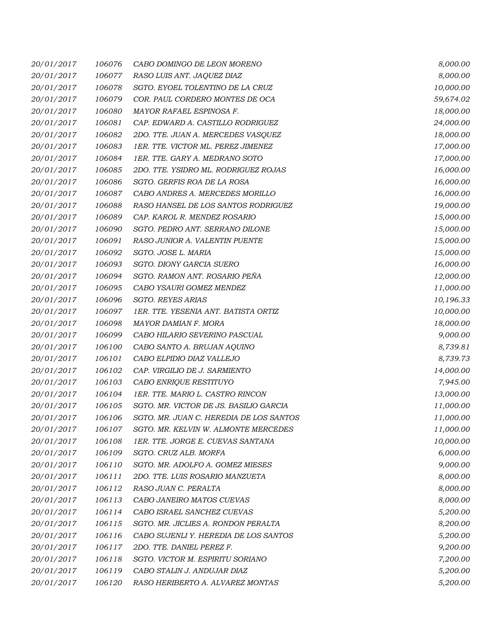| 20/01/2017 | 106076 | CABO DOMINGO DE LEON MORENO             | 8,000.00  |
|------------|--------|-----------------------------------------|-----------|
| 20/01/2017 | 106077 | RASO LUIS ANT. JAQUEZ DIAZ              | 8,000.00  |
| 20/01/2017 | 106078 | SGTO. EYOEL TOLENTINO DE LA CRUZ        | 10,000.00 |
| 20/01/2017 | 106079 | COR. PAUL CORDERO MONTES DE OCA         | 59,674.02 |
| 20/01/2017 | 106080 | MAYOR RAFAEL ESPINOSA F.                | 18,000.00 |
| 20/01/2017 | 106081 | CAP. EDWARD A. CASTILLO RODRIGUEZ       | 24,000.00 |
| 20/01/2017 | 106082 | 2DO. TTE. JUAN A. MERCEDES VASQUEZ      | 18,000.00 |
| 20/01/2017 | 106083 | 1ER. TTE. VICTOR ML. PEREZ JIMENEZ      | 17,000.00 |
| 20/01/2017 | 106084 | 1ER. TTE. GARY A. MEDRANO SOTO          | 17,000.00 |
| 20/01/2017 | 106085 | 2DO. TTE. YSIDRO ML. RODRIGUEZ ROJAS    | 16,000.00 |
| 20/01/2017 | 106086 | SGTO. GERFIS ROA DE LA ROSA             | 16,000.00 |
| 20/01/2017 | 106087 | CABO ANDRES A. MERCEDES MORILLO         | 16,000.00 |
| 20/01/2017 | 106088 | RASO HANSEL DE LOS SANTOS RODRIGUEZ     | 19,000.00 |
| 20/01/2017 | 106089 | CAP. KAROL R. MENDEZ ROSARIO            | 15,000.00 |
| 20/01/2017 | 106090 | SGTO. PEDRO ANT. SERRANO DILONE         | 15,000.00 |
| 20/01/2017 | 106091 | RASO JUNIOR A. VALENTIN PUENTE          | 15,000.00 |
| 20/01/2017 | 106092 | SGTO. JOSE L. MARIA                     | 15,000.00 |
| 20/01/2017 | 106093 | SGTO. DIONY GARCIA SUERO                | 16,000.00 |
| 20/01/2017 | 106094 | SGTO. RAMON ANT. ROSARIO PEÑA           | 12,000.00 |
| 20/01/2017 | 106095 | CABO YSAURI GOMEZ MENDEZ                | 11,000.00 |
| 20/01/2017 | 106096 | <b>SGTO. REYES ARIAS</b>                | 10,196.33 |
| 20/01/2017 | 106097 | 1ER. TTE. YESENIA ANT. BATISTA ORTIZ    | 10,000.00 |
| 20/01/2017 | 106098 | MAYOR DAMIAN F. MORA                    | 18,000.00 |
| 20/01/2017 | 106099 | CABO HILARIO SEVERINO PASCUAL           | 9,000.00  |
| 20/01/2017 | 106100 | CABO SANTO A. BRUJAN AQUINO             | 8,739.81  |
| 20/01/2017 | 106101 | CABO ELPIDIO DIAZ VALLEJO               | 8,739.73  |
| 20/01/2017 | 106102 | CAP. VIRGILIO DE J. SARMIENTO           | 14,000.00 |
| 20/01/2017 | 106103 | CABO ENRIQUE RESTITUYO                  | 7,945.00  |
| 20/01/2017 | 106104 | 1ER. TTE. MARIO L. CASTRO RINCON        | 13,000.00 |
| 20/01/2017 | 106105 | SGTO. MR. VICTOR DE JS. BASILIO GARCIA  | 11,000.00 |
| 20/01/2017 | 106106 | SGTO. MR. JUAN C. HEREDIA DE LOS SANTOS | 11,000.00 |
| 20/01/2017 | 106107 | SGTO. MR. KELVIN W. ALMONTE MERCEDES    | 11,000.00 |
| 20/01/2017 | 106108 | 1ER. TTE. JORGE E. CUEVAS SANTANA       | 10,000.00 |
| 20/01/2017 | 106109 | SGTO. CRUZ ALB. MORFA                   | 6,000.00  |
| 20/01/2017 | 106110 | SGTO. MR. ADOLFO A. GOMEZ MIESES        | 9,000.00  |
| 20/01/2017 | 106111 | 2DO. TTE. LUIS ROSARIO MANZUETA         | 8,000.00  |
| 20/01/2017 | 106112 | RASO JUAN C. PERALTA                    | 8,000.00  |
| 20/01/2017 | 106113 | CABO JANEIRO MATOS CUEVAS               | 8,000.00  |
| 20/01/2017 | 106114 | CABO ISRAEL SANCHEZ CUEVAS              | 5,200.00  |
| 20/01/2017 | 106115 | SGTO. MR. JICLIES A. RONDON PERALTA     | 8,200.00  |
| 20/01/2017 | 106116 | CABO SUJENLI Y. HEREDIA DE LOS SANTOS   | 5,200.00  |
| 20/01/2017 | 106117 | 2DO. TTE. DANIEL PEREZ F.               | 9,200.00  |
| 20/01/2017 | 106118 | SGTO. VICTOR M. ESPIRITU SORIANO        | 7,200.00  |
| 20/01/2017 | 106119 | CABO STALIN J. ANDUJAR DIAZ             | 5,200.00  |
| 20/01/2017 | 106120 | RASO HERIBERTO A. ALVAREZ MONTAS        | 5,200.00  |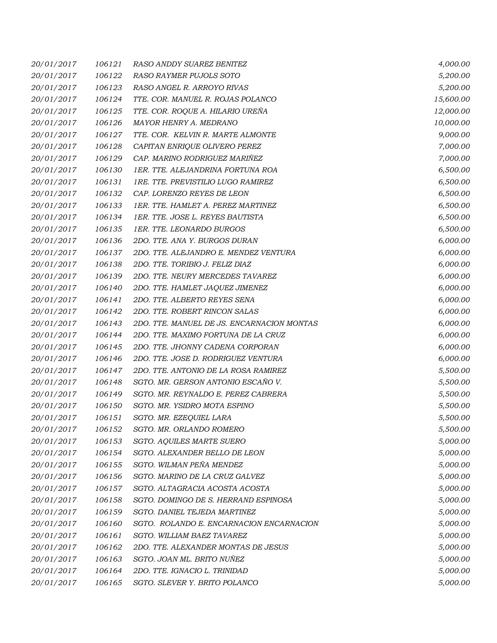| 20/01/2017 | 106121 | RASO ANDDY SUAREZ BENITEZ                  | 4,000.00  |
|------------|--------|--------------------------------------------|-----------|
| 20/01/2017 | 106122 | RASO RAYMER PUJOLS SOTO                    | 5,200.00  |
| 20/01/2017 | 106123 | RASO ANGEL R. ARROYO RIVAS                 | 5,200.00  |
| 20/01/2017 | 106124 | TTE. COR. MANUEL R. ROJAS POLANCO          | 15,600.00 |
| 20/01/2017 | 106125 | TTE. COR. ROQUE A. HILARIO UREÑA           | 12,000.00 |
| 20/01/2017 | 106126 | MAYOR HENRY A. MEDRANO                     | 10,000.00 |
| 20/01/2017 | 106127 | TTE. COR. KELVIN R. MARTE ALMONTE          | 9,000.00  |
| 20/01/2017 | 106128 | CAPITAN ENRIQUE OLIVERO PEREZ              | 7,000.00  |
| 20/01/2017 | 106129 | CAP. MARINO RODRIGUEZ MARIÑEZ              | 7,000.00  |
| 20/01/2017 | 106130 | 1ER. TTE. ALEJANDRINA FORTUNA ROA          | 6,500.00  |
| 20/01/2017 | 106131 | 1RE. TTE. PREVISTILIO LUGO RAMIREZ         | 6,500.00  |
| 20/01/2017 | 106132 | CAP. LORENZO REYES DE LEON                 | 6,500.00  |
| 20/01/2017 | 106133 | 1ER. TTE. HAMLET A. PEREZ MARTINEZ         | 6,500.00  |
| 20/01/2017 | 106134 | 1ER. TTE. JOSE L. REYES BAUTISTA           | 6,500.00  |
| 20/01/2017 | 106135 | 1ER. TTE. LEONARDO BURGOS                  | 6,500.00  |
| 20/01/2017 | 106136 | 2DO. TTE. ANA Y. BURGOS DURAN              | 6,000.00  |
| 20/01/2017 | 106137 | 2DO. TTE. ALEJANDRO E. MENDEZ VENTURA      | 6,000.00  |
| 20/01/2017 | 106138 | 2DO. TTE. TORIBIO J. FELIZ DIAZ            | 6,000.00  |
| 20/01/2017 | 106139 | 2DO. TTE. NEURY MERCEDES TAVAREZ           | 6,000.00  |
| 20/01/2017 | 106140 | 2DO. TTE. HAMLET JAQUEZ JIMENEZ            | 6,000.00  |
| 20/01/2017 | 106141 | 2DO. TTE. ALBERTO REYES SENA               | 6,000.00  |
| 20/01/2017 | 106142 | 2DO. TTE. ROBERT RINCON SALAS              | 6,000.00  |
| 20/01/2017 | 106143 | 2DO. TTE. MANUEL DE JS. ENCARNACION MONTAS | 6,000.00  |
| 20/01/2017 | 106144 | 2DO. TTE. MAXIMO FORTUNA DE LA CRUZ        | 6,000.00  |
| 20/01/2017 | 106145 | 2DO. TTE. JHONNY CADENA CORPORAN           | 6,000.00  |
| 20/01/2017 | 106146 | 2DO. TTE. JOSE D. RODRIGUEZ VENTURA        | 6,000.00  |
| 20/01/2017 | 106147 | 2DO. TTE. ANTONIO DE LA ROSA RAMIREZ       | 5,500.00  |
| 20/01/2017 | 106148 | SGTO. MR. GERSON ANTONIO ESCAÑO V.         | 5,500.00  |
| 20/01/2017 | 106149 | SGTO. MR. REYNALDO E. PEREZ CABRERA        | 5,500.00  |
| 20/01/2017 | 106150 | SGTO. MR. YSIDRO MOTA ESPINO               | 5,500.00  |
| 20/01/2017 | 106151 | SGTO. MR. EZEQUIEL LARA                    | 5,500.00  |
| 20/01/2017 | 106152 | SGTO. MR. ORLANDO ROMERO                   | 5,500.00  |
| 20/01/2017 | 106153 | SGTO. AQUILES MARTE SUERO                  | 5,000.00  |
| 20/01/2017 | 106154 | SGTO. ALEXANDER BELLO DE LEON              | 5,000.00  |
| 20/01/2017 | 106155 | SGTO. WILMAN PEÑA MENDEZ                   | 5,000.00  |
| 20/01/2017 | 106156 | SGTO. MARINO DE LA CRUZ GALVEZ             | 5,000.00  |
| 20/01/2017 | 106157 | SGTO. ALTAGRACIA ACOSTA ACOSTA             | 5,000.00  |
| 20/01/2017 | 106158 | SGTO. DOMINGO DE S. HERRAND ESPINOSA       | 5,000.00  |
| 20/01/2017 | 106159 | SGTO. DANIEL TEJEDA MARTINEZ               | 5,000.00  |
| 20/01/2017 | 106160 | SGTO. ROLANDO E. ENCARNACION ENCARNACION   | 5,000.00  |
| 20/01/2017 | 106161 | SGTO. WILLIAM BAEZ TAVAREZ                 | 5,000.00  |
| 20/01/2017 | 106162 | 2DO. TTE. ALEXANDER MONTAS DE JESUS        | 5,000.00  |
| 20/01/2017 | 106163 | SGTO. JOAN ML. BRITO NUÑEZ                 | 5,000.00  |
| 20/01/2017 | 106164 | 2DO. TTE. IGNACIO L. TRINIDAD              | 5,000.00  |
| 20/01/2017 | 106165 | SGTO. SLEVER Y. BRITO POLANCO              | 5,000.00  |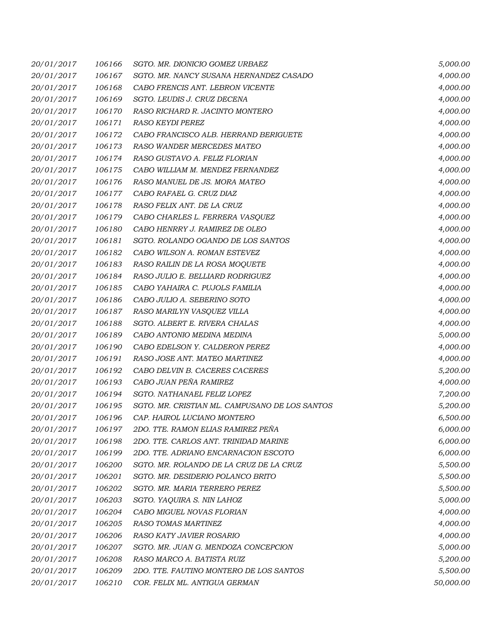| 20/01/2017 | 106166 | SGTO. MR. DIONICIO GOMEZ URBAEZ                | 5,000.00  |
|------------|--------|------------------------------------------------|-----------|
| 20/01/2017 | 106167 | SGTO. MR. NANCY SUSANA HERNANDEZ CASADO        | 4,000.00  |
| 20/01/2017 | 106168 | CABO FRENCIS ANT. LEBRON VICENTE               | 4,000.00  |
| 20/01/2017 | 106169 | SGTO. LEUDIS J. CRUZ DECENA                    | 4,000.00  |
| 20/01/2017 | 106170 | RASO RICHARD R. JACINTO MONTERO                | 4,000.00  |
| 20/01/2017 | 106171 | RASO KEYDI PEREZ                               | 4,000.00  |
| 20/01/2017 | 106172 | CABO FRANCISCO ALB. HERRAND BERIGUETE          | 4,000.00  |
| 20/01/2017 | 106173 | RASO WANDER MERCEDES MATEO                     | 4,000.00  |
| 20/01/2017 | 106174 | RASO GUSTAVO A. FELIZ FLORIAN                  | 4,000.00  |
| 20/01/2017 | 106175 | CABO WILLIAM M. MENDEZ FERNANDEZ               | 4,000.00  |
| 20/01/2017 | 106176 | RASO MANUEL DE JS. MORA MATEO                  | 4,000.00  |
| 20/01/2017 | 106177 | CABO RAFAEL G. CRUZ DIAZ                       | 4,000.00  |
| 20/01/2017 | 106178 | RASO FELIX ANT. DE LA CRUZ                     | 4,000.00  |
| 20/01/2017 | 106179 | CABO CHARLES L. FERRERA VASQUEZ                | 4,000.00  |
| 20/01/2017 | 106180 | CABO HENRRY J. RAMIREZ DE OLEO                 | 4,000.00  |
| 20/01/2017 | 106181 | SGTO. ROLANDO OGANDO DE LOS SANTOS             | 4,000.00  |
| 20/01/2017 | 106182 | CABO WILSON A. ROMAN ESTEVEZ                   | 4,000.00  |
| 20/01/2017 | 106183 | RASO RAILIN DE LA ROSA MOQUETE                 | 4,000.00  |
| 20/01/2017 | 106184 | RASO JULIO E. BELLIARD RODRIGUEZ               | 4,000.00  |
| 20/01/2017 | 106185 | CABO YAHAIRA C. PUJOLS FAMILIA                 | 4,000.00  |
| 20/01/2017 | 106186 | CABO JULIO A. SEBERINO SOTO                    | 4,000.00  |
| 20/01/2017 | 106187 | RASO MARILYN VASQUEZ VILLA                     | 4,000.00  |
| 20/01/2017 | 106188 | SGTO. ALBERT E. RIVERA CHALAS                  | 4,000.00  |
| 20/01/2017 | 106189 | CABO ANTONIO MEDINA MEDINA                     | 5,000.00  |
| 20/01/2017 | 106190 | CABO EDELSON Y. CALDERON PEREZ                 | 4,000.00  |
| 20/01/2017 | 106191 | RASO JOSE ANT. MATEO MARTINEZ                  | 4,000.00  |
| 20/01/2017 | 106192 | CABO DELVIN B. CACERES CACERES                 | 5,200.00  |
| 20/01/2017 | 106193 | CABO JUAN PEÑA RAMIREZ                         | 4,000.00  |
| 20/01/2017 | 106194 | SGTO. NATHANAEL FELIZ LOPEZ                    | 7,200.00  |
| 20/01/2017 | 106195 | SGTO. MR. CRISTIAN ML. CAMPUSANO DE LOS SANTOS | 5,200.00  |
| 20/01/2017 | 106196 | CAP. HAIROL LUCIANO MONTERO                    | 6,500.00  |
| 20/01/2017 | 106197 | 2DO. TTE. RAMON ELIAS RAMIREZ PENA             | 6,000.00  |
| 20/01/2017 | 106198 | 2DO. TTE. CARLOS ANT. TRINIDAD MARINE          | 6,000.00  |
| 20/01/2017 | 106199 | 2DO. TTE. ADRIANO ENCARNACION ESCOTO           | 6,000.00  |
| 20/01/2017 | 106200 | SGTO. MR. ROLANDO DE LA CRUZ DE LA CRUZ        | 5,500.00  |
| 20/01/2017 | 106201 | SGTO. MR. DESIDERIO POLANCO BRITO              | 5,500.00  |
| 20/01/2017 | 106202 | SGTO. MR. MARIA TERRERO PEREZ                  | 5,500.00  |
| 20/01/2017 | 106203 | SGTO. YAQUIRA S. NIN LAHOZ                     | 5,000.00  |
| 20/01/2017 | 106204 | CABO MIGUEL NOVAS FLORIAN                      | 4,000.00  |
| 20/01/2017 | 106205 | RASO TOMAS MARTINEZ                            | 4,000.00  |
| 20/01/2017 | 106206 | RASO KATY JAVIER ROSARIO                       | 4,000.00  |
| 20/01/2017 | 106207 | SGTO. MR. JUAN G. MENDOZA CONCEPCION           | 5,000.00  |
| 20/01/2017 | 106208 | RASO MARCO A. BATISTA RUIZ                     | 5,200.00  |
| 20/01/2017 | 106209 | 2DO. TTE. FAUTINO MONTERO DE LOS SANTOS        | 5,500.00  |
| 20/01/2017 | 106210 | COR. FELIX ML. ANTIGUA GERMAN                  | 50,000.00 |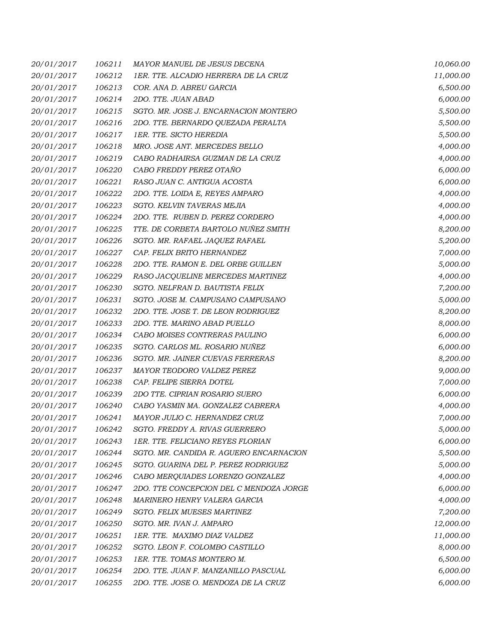| 20/01/2017 | 106211 | MAYOR MANUEL DE JESUS DECENA             | 10,060.00 |
|------------|--------|------------------------------------------|-----------|
| 20/01/2017 | 106212 | 1ER. TTE. ALCADIO HERRERA DE LA CRUZ     | 11,000.00 |
| 20/01/2017 | 106213 | COR. ANA D. ABREU GARCIA                 | 6,500.00  |
| 20/01/2017 | 106214 | 2DO. TTE. JUAN ABAD                      | 6,000.00  |
| 20/01/2017 | 106215 | SGTO. MR. JOSE J. ENCARNACION MONTERO    | 5,500.00  |
| 20/01/2017 | 106216 | 2DO. TTE. BERNARDO QUEZADA PERALTA       | 5,500.00  |
| 20/01/2017 | 106217 | 1ER. TTE. SICTO HEREDIA                  | 5,500.00  |
| 20/01/2017 | 106218 | MRO. JOSE ANT. MERCEDES BELLO            | 4,000.00  |
| 20/01/2017 | 106219 | CABO RADHAIRSA GUZMAN DE LA CRUZ         | 4,000.00  |
| 20/01/2017 | 106220 | CABO FREDDY PEREZ OTAÑO                  | 6,000.00  |
| 20/01/2017 | 106221 | RASO JUAN C. ANTIGUA ACOSTA              | 6,000.00  |
| 20/01/2017 | 106222 | 2DO. TTE. LOIDA E, REYES AMPARO          | 4,000.00  |
| 20/01/2017 | 106223 | SGTO. KELVIN TAVERAS MEJIA               | 4,000.00  |
| 20/01/2017 | 106224 | 2DO. TTE. RUBEN D. PEREZ CORDERO         | 4,000.00  |
| 20/01/2017 | 106225 | TTE. DE CORBETA BARTOLO NUÑEZ SMITH      | 8,200.00  |
| 20/01/2017 | 106226 | SGTO. MR. RAFAEL JAQUEZ RAFAEL           | 5,200.00  |
| 20/01/2017 | 106227 | CAP. FELIX BRITO HERNANDEZ               | 7,000.00  |
| 20/01/2017 | 106228 | 2DO. TTE. RAMON E. DEL ORBE GUILLEN      | 5,000.00  |
| 20/01/2017 | 106229 | RASO JACQUELINE MERCEDES MARTINEZ        | 4,000.00  |
| 20/01/2017 | 106230 | SGTO. NELFRAN D. BAUTISTA FELIX          | 7,200.00  |
| 20/01/2017 | 106231 | SGTO. JOSE M. CAMPUSANO CAMPUSANO        | 5,000.00  |
| 20/01/2017 | 106232 | 2DO. TTE. JOSE T. DE LEON RODRIGUEZ      | 8,200.00  |
| 20/01/2017 | 106233 | 2DO. TTE. MARINO ABAD PUELLO             | 8,000.00  |
| 20/01/2017 | 106234 | CABO MOISES CONTRERAS PAULINO            | 6,000.00  |
| 20/01/2017 | 106235 | SGTO. CARLOS ML. ROSARIO NUÑEZ           | 6,000.00  |
| 20/01/2017 | 106236 | SGTO. MR. JAINER CUEVAS FERRERAS         | 8,200.00  |
| 20/01/2017 | 106237 | MAYOR TEODORO VALDEZ PEREZ               | 9,000.00  |
| 20/01/2017 | 106238 | CAP. FELIPE SIERRA DOTEL                 | 7,000.00  |
| 20/01/2017 | 106239 | 2DO TTE. CIPRIAN ROSARIO SUERO           | 6,000.00  |
| 20/01/2017 | 106240 | CABO YASMIN MA. GONZALEZ CABRERA         | 4,000.00  |
| 20/01/2017 | 106241 | MAYOR JULIO C. HERNANDEZ CRUZ            | 7,000.00  |
| 20/01/2017 | 106242 | SGTO. FREDDY A. RIVAS GUERRERO           | 5,000.00  |
| 20/01/2017 | 106243 | <b>1ER. TTE. FELICIANO REYES FLORIAN</b> | 6,000.00  |
| 20/01/2017 | 106244 | SGTO. MR. CANDIDA R. AGUERO ENCARNACION  | 5,500.00  |
| 20/01/2017 | 106245 | SGTO. GUARINA DEL P. PEREZ RODRIGUEZ     | 5,000.00  |
| 20/01/2017 | 106246 | CABO MERQUIADES LORENZO GONZALEZ         | 4,000.00  |
| 20/01/2017 | 106247 | 2DO. TTE CONCEPCION DEL C MENDOZA JORGE  | 6,000.00  |
| 20/01/2017 | 106248 | MARINERO HENRY VALERA GARCIA             | 4,000.00  |
| 20/01/2017 | 106249 | SGTO. FELIX MUESES MARTINEZ              | 7,200.00  |
| 20/01/2017 | 106250 | SGTO. MR. IVAN J. AMPARO                 | 12,000.00 |
| 20/01/2017 | 106251 | 1ER. TTE. MAXIMO DIAZ VALDEZ             | 11,000.00 |
| 20/01/2017 | 106252 | SGTO. LEON F. COLOMBO CASTILLO           | 8,000.00  |
| 20/01/2017 | 106253 | 1ER. TTE. TOMAS MONTERO M.               | 6,500.00  |
| 20/01/2017 | 106254 | 2DO. TTE. JUAN F. MANZANILLO PASCUAL     | 6,000.00  |
| 20/01/2017 | 106255 | 2DO. TTE. JOSE O. MENDOZA DE LA CRUZ     | 6,000.00  |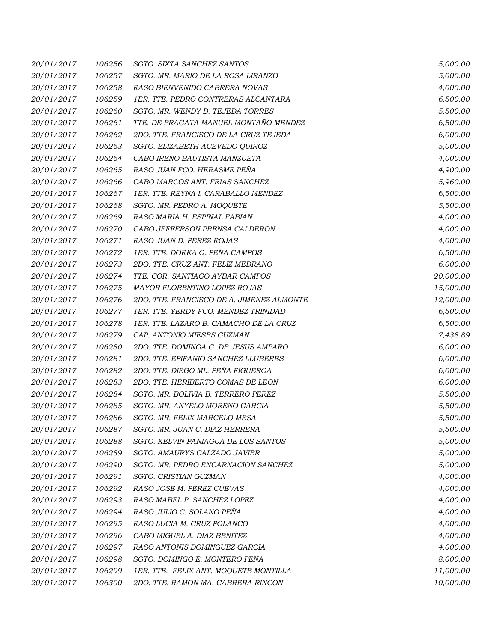| 20/01/2017 | 106256 | SGTO. SIXTA SANCHEZ SANTOS                | 5,000.00  |
|------------|--------|-------------------------------------------|-----------|
| 20/01/2017 | 106257 | SGTO. MR. MARIO DE LA ROSA LIRANZO        | 5,000.00  |
| 20/01/2017 | 106258 | RASO BIENVENIDO CABRERA NOVAS             | 4,000.00  |
| 20/01/2017 | 106259 | 1ER. TTE. PEDRO CONTRERAS ALCANTARA       | 6,500.00  |
| 20/01/2017 | 106260 | SGTO. MR. WENDY D. TEJEDA TORRES          | 5,500.00  |
| 20/01/2017 | 106261 | TTE. DE FRAGATA MANUEL MONTAÑO MENDEZ     | 6,500.00  |
| 20/01/2017 | 106262 | 2DO. TTE. FRANCISCO DE LA CRUZ TEJEDA     | 6,000.00  |
| 20/01/2017 | 106263 | SGTO. ELIZABETH ACEVEDO QUIROZ            | 5,000.00  |
| 20/01/2017 | 106264 | CABO IRENO BAUTISTA MANZUETA              | 4,000.00  |
| 20/01/2017 | 106265 | RASO JUAN FCO. HERASME PEÑA               | 4,900.00  |
| 20/01/2017 | 106266 | CABO MARCOS ANT. FRIAS SANCHEZ            | 5,960.00  |
| 20/01/2017 | 106267 | 1ER. TTE. REYNA I. CARABALLO MENDEZ       | 6,500.00  |
| 20/01/2017 | 106268 | SGTO. MR. PEDRO A. MOQUETE                | 5,500.00  |
| 20/01/2017 | 106269 | RASO MARIA H. ESPINAL FABIAN              | 4,000.00  |
| 20/01/2017 | 106270 | CABO JEFFERSON PRENSA CALDERON            | 4,000.00  |
| 20/01/2017 | 106271 | RASO JUAN D. PEREZ ROJAS                  | 4,000.00  |
| 20/01/2017 | 106272 | 1ER. TTE. DORKA O. PEÑA CAMPOS            | 6,500.00  |
| 20/01/2017 | 106273 | 2DO. TTE. CRUZ ANT. FELIZ MEDRANO         | 6,000.00  |
| 20/01/2017 | 106274 | TTE. COR. SANTIAGO AYBAR CAMPOS           | 20,000.00 |
| 20/01/2017 | 106275 | MAYOR FLORENTINO LOPEZ ROJAS              | 15,000.00 |
| 20/01/2017 | 106276 | 2DO. TTE. FRANCISCO DE A. JIMENEZ ALMONTE | 12,000.00 |
| 20/01/2017 | 106277 | 1ER. TTE. YERDY FCO. MENDEZ TRINIDAD      | 6,500.00  |
| 20/01/2017 | 106278 | 1ER. TTE. LAZARO B. CAMACHO DE LA CRUZ    | 6,500.00  |
| 20/01/2017 | 106279 | CAP. ANTONIO MIESES GUZMAN                | 7,438.89  |
| 20/01/2017 | 106280 | 2DO. TTE. DOMINGA G. DE JESUS AMPARO      | 6,000.00  |
| 20/01/2017 | 106281 | 2DO. TTE. EPIFANIO SANCHEZ LLUBERES       | 6,000.00  |
| 20/01/2017 | 106282 | 2DO. TTE. DIEGO ML. PEÑA FIGUEROA         | 6,000.00  |
| 20/01/2017 | 106283 | 2DO. TTE. HERIBERTO COMAS DE LEON         | 6,000.00  |
| 20/01/2017 | 106284 | SGTO. MR. BOLIVIA B. TERRERO PEREZ        | 5,500.00  |
| 20/01/2017 | 106285 | SGTO. MR. ANYELO MORENO GARCIA            | 5,500.00  |
| 20/01/2017 | 106286 | SGTO. MR. FELIX MARCELO MESA              | 5,500.00  |
| 20/01/2017 | 106287 | SGTO. MR. JUAN C. DIAZ HERRERA            | 5,500.00  |
| 20/01/2017 | 106288 | SGTO. KELVIN PANIAGUA DE LOS SANTOS       | 5,000.00  |
| 20/01/2017 | 106289 | SGTO. AMAURYS CALZADO JAVIER              | 5,000.00  |
| 20/01/2017 | 106290 | SGTO. MR. PEDRO ENCARNACION SANCHEZ       | 5,000.00  |
| 20/01/2017 | 106291 | SGTO. CRISTIAN GUZMAN                     | 4,000.00  |
| 20/01/2017 | 106292 | RASO JOSE M. PEREZ CUEVAS                 | 4,000.00  |
| 20/01/2017 | 106293 | RASO MABEL P. SANCHEZ LOPEZ               | 4,000.00  |
| 20/01/2017 | 106294 | RASO JULIO C. SOLANO PEÑA                 | 4,000.00  |
| 20/01/2017 | 106295 | RASO LUCIA M. CRUZ POLANCO                | 4,000.00  |
| 20/01/2017 | 106296 | CABO MIGUEL A. DIAZ BENITEZ               | 4,000.00  |
| 20/01/2017 | 106297 | RASO ANTONIS DOMINGUEZ GARCIA             | 4,000.00  |
| 20/01/2017 | 106298 | SGTO. DOMINGO E. MONTERO PEÑA             | 8,000.00  |
| 20/01/2017 | 106299 | 1ER. TTE. FELIX ANT. MOQUETE MONTILLA     | 11,000.00 |
| 20/01/2017 | 106300 | 2DO. TTE. RAMON MA. CABRERA RINCON        | 10,000.00 |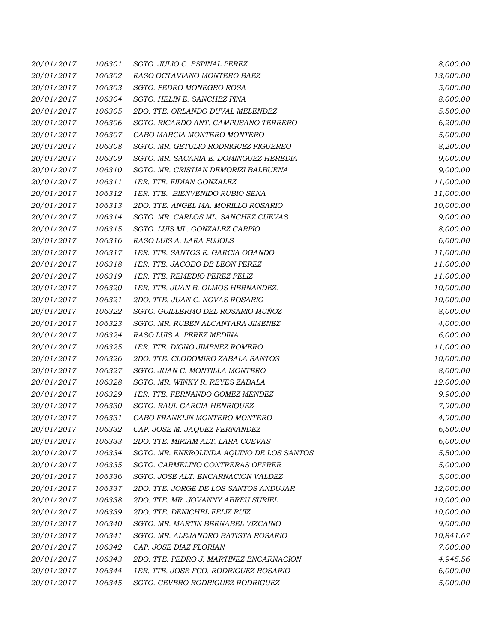| 20/01/2017 | 106301 | SGTO. JULIO C. ESPINAL PEREZ              | 8,000.00  |
|------------|--------|-------------------------------------------|-----------|
| 20/01/2017 | 106302 | RASO OCTAVIANO MONTERO BAEZ               | 13,000.00 |
| 20/01/2017 | 106303 | SGTO. PEDRO MONEGRO ROSA                  | 5,000.00  |
| 20/01/2017 | 106304 | SGTO. HELIN E. SANCHEZ PIÑA               | 8,000.00  |
| 20/01/2017 | 106305 | 2DO. TTE. ORLANDO DUVAL MELENDEZ          | 5,500.00  |
| 20/01/2017 | 106306 | SGTO. RICARDO ANT. CAMPUSANO TERRERO      | 6,200.00  |
| 20/01/2017 | 106307 | CABO MARCIA MONTERO MONTERO               | 5,000.00  |
| 20/01/2017 | 106308 | SGTO. MR. GETULIO RODRIGUEZ FIGUEREO      | 8,200.00  |
| 20/01/2017 | 106309 | SGTO. MR. SACARIA E. DOMINGUEZ HEREDIA    | 9,000.00  |
| 20/01/2017 | 106310 | SGTO. MR. CRISTIAN DEMORIZI BALBUENA      | 9,000.00  |
| 20/01/2017 | 106311 | 1ER. TTE. FIDIAN GONZALEZ                 | 11,000.00 |
| 20/01/2017 | 106312 | 1ER. TTE. BIENVENIDO RUBIO SENA           | 11,000.00 |
| 20/01/2017 | 106313 | 2DO. TTE. ANGEL MA. MORILLO ROSARIO       | 10,000.00 |
| 20/01/2017 | 106314 | SGTO. MR. CARLOS ML. SANCHEZ CUEVAS       | 9,000.00  |
| 20/01/2017 | 106315 | SGTO. LUIS ML. GONZALEZ CARPIO            | 8,000.00  |
| 20/01/2017 | 106316 | RASO LUIS A. LARA PUJOLS                  | 6,000.00  |
| 20/01/2017 | 106317 | 1ER. TTE. SANTOS E. GARCIA OGANDO         | 11,000.00 |
| 20/01/2017 | 106318 | 1ER. TTE. JACOBO DE LEON PEREZ            | 11,000.00 |
| 20/01/2017 | 106319 | 1ER. TTE. REMEDIO PEREZ FELIZ             | 11,000.00 |
| 20/01/2017 | 106320 | 1ER. TTE. JUAN B. OLMOS HERNANDEZ.        | 10,000.00 |
| 20/01/2017 | 106321 | 2DO. TTE. JUAN C. NOVAS ROSARIO           | 10,000.00 |
| 20/01/2017 | 106322 | SGTO. GUILLERMO DEL ROSARIO MUÑOZ         | 8,000.00  |
| 20/01/2017 | 106323 | SGTO. MR. RUBEN ALCANTARA JIMENEZ         | 4,000.00  |
| 20/01/2017 | 106324 | RASO LUIS A. PEREZ MEDINA                 | 6,000.00  |
| 20/01/2017 | 106325 | 1ER. TTE. DIGNO JIMENEZ ROMERO            | 11,000.00 |
| 20/01/2017 | 106326 | 2DO. TTE. CLODOMIRO ZABALA SANTOS         | 10,000.00 |
| 20/01/2017 | 106327 | SGTO. JUAN C. MONTILLA MONTERO            | 8,000.00  |
| 20/01/2017 | 106328 | SGTO. MR. WINKY R. REYES ZABALA           | 12,000.00 |
| 20/01/2017 | 106329 | 1ER. TTE. FERNANDO GOMEZ MENDEZ           | 9,900.00  |
| 20/01/2017 | 106330 | SGTO. RAUL GARCIA HENRIQUEZ               | 7,900.00  |
| 20/01/2017 | 106331 | CABO FRANKLIN MONTERO MONTERO             | 4,900.00  |
| 20/01/2017 | 106332 | CAP. JOSE M. JAQUEZ FERNANDEZ             | 6,500.00  |
| 20/01/2017 | 106333 | 2DO. TTE. MIRIAM ALT. LARA CUEVAS         | 6,000.00  |
| 20/01/2017 | 106334 | SGTO. MR. ENEROLINDA AQUINO DE LOS SANTOS | 5,500.00  |
| 20/01/2017 | 106335 | SGTO. CARMELINO CONTRERAS OFFRER          | 5,000.00  |
| 20/01/2017 | 106336 | SGTO. JOSE ALT. ENCARNACION VALDEZ        | 5,000.00  |
| 20/01/2017 | 106337 | 2DO. TTE. JORGE DE LOS SANTOS ANDUJAR     | 12,000.00 |
| 20/01/2017 | 106338 | 2DO. TTE. MR. JOVANNY ABREU SURIEL        | 10,000.00 |
| 20/01/2017 | 106339 | 2DO. TTE. DENICHEL FELIZ RUIZ             | 10,000.00 |
| 20/01/2017 | 106340 | SGTO. MR. MARTIN BERNABEL VIZCAINO        | 9,000.00  |
| 20/01/2017 | 106341 | SGTO. MR. ALEJANDRO BATISTA ROSARIO       | 10,841.67 |
| 20/01/2017 | 106342 | CAP. JOSE DIAZ FLORIAN                    | 7,000.00  |
| 20/01/2017 | 106343 | 2DO. TTE. PEDRO J. MARTINEZ ENCARNACION   | 4,945.56  |
| 20/01/2017 | 106344 | 1ER. TTE. JOSE FCO. RODRIGUEZ ROSARIO     | 6,000.00  |
| 20/01/2017 | 106345 | SGTO. CEVERO RODRIGUEZ RODRIGUEZ          | 5,000.00  |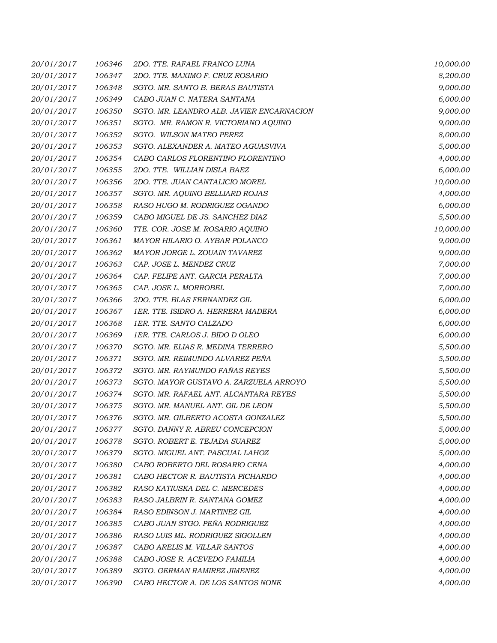| 20/01/2017 | 106346 | 2DO. TTE. RAFAEL FRANCO LUNA              | 10,000.00 |
|------------|--------|-------------------------------------------|-----------|
| 20/01/2017 | 106347 | 2DO. TTE. MAXIMO F. CRUZ ROSARIO          | 8,200.00  |
| 20/01/2017 | 106348 | SGTO. MR. SANTO B. BERAS BAUTISTA         | 9,000.00  |
| 20/01/2017 | 106349 | CABO JUAN C. NATERA SANTANA               | 6,000.00  |
| 20/01/2017 | 106350 | SGTO. MR. LEANDRO ALB. JAVIER ENCARNACION | 9,000.00  |
| 20/01/2017 | 106351 | SGTO. MR. RAMON R. VICTORIANO AQUINO      | 9,000.00  |
| 20/01/2017 | 106352 | SGTO. WILSON MATEO PEREZ                  | 8,000.00  |
| 20/01/2017 | 106353 | SGTO. ALEXANDER A. MATEO AGUASVIVA        | 5,000.00  |
| 20/01/2017 | 106354 | CABO CARLOS FLORENTINO FLORENTINO         | 4,000.00  |
| 20/01/2017 | 106355 | 2DO. TTE. WILLIAN DISLA BAEZ              | 6,000.00  |
| 20/01/2017 | 106356 | 2DO. TTE. JUAN CANTALICIO MOREL           | 10,000.00 |
| 20/01/2017 | 106357 | SGTO. MR. AQUINO BELLIARD ROJAS           | 4,000.00  |
| 20/01/2017 | 106358 | RASO HUGO M. RODRIGUEZ OGANDO             | 6,000.00  |
| 20/01/2017 | 106359 | CABO MIGUEL DE JS. SANCHEZ DIAZ           | 5,500.00  |
| 20/01/2017 | 106360 | TTE. COR. JOSE M. ROSARIO AQUINO          | 10,000.00 |
| 20/01/2017 | 106361 | MAYOR HILARIO O. AYBAR POLANCO            | 9,000.00  |
| 20/01/2017 | 106362 | MAYOR JORGE L. ZOUAIN TAVAREZ             | 9,000.00  |
| 20/01/2017 | 106363 | CAP. JOSE L. MENDEZ CRUZ                  | 7,000.00  |
| 20/01/2017 | 106364 | CAP. FELIPE ANT. GARCIA PERALTA           | 7,000.00  |
| 20/01/2017 | 106365 | CAP. JOSE L. MORROBEL                     | 7,000.00  |
| 20/01/2017 | 106366 | 2DO. TTE. BLAS FERNANDEZ GIL              | 6,000.00  |
| 20/01/2017 | 106367 | 1ER. TTE. ISIDRO A. HERRERA MADERA        | 6,000.00  |
| 20/01/2017 | 106368 | 1ER. TTE. SANTO CALZADO                   | 6,000.00  |
| 20/01/2017 | 106369 | 1ER. TTE. CARLOS J. BIDO D OLEO           | 6,000.00  |
| 20/01/2017 | 106370 | SGTO. MR. ELIAS R. MEDINA TERRERO         | 5,500.00  |
| 20/01/2017 | 106371 | SGTO. MR. REIMUNDO ALVAREZ PEÑA           | 5,500.00  |
| 20/01/2017 | 106372 | SGTO. MR. RAYMUNDO FAÑAS REYES            | 5,500.00  |
| 20/01/2017 | 106373 | SGTO. MAYOR GUSTAVO A. ZARZUELA ARROYO    | 5,500.00  |
| 20/01/2017 | 106374 | SGTO. MR. RAFAEL ANT. ALCANTARA REYES     | 5,500.00  |
| 20/01/2017 | 106375 | SGTO. MR. MANUEL ANT. GIL DE LEON         | 5,500.00  |
| 20/01/2017 | 106376 | SGTO. MR. GILBERTO ACOSTA GONZALEZ        | 5,500.00  |
| 20/01/2017 | 106377 | SGTO. DANNY R. ABREU CONCEPCION           | 5,000.00  |
| 20/01/2017 | 106378 | SGTO. ROBERT E. TEJADA SUAREZ             | 5,000.00  |
| 20/01/2017 | 106379 | SGTO. MIGUEL ANT. PASCUAL LAHOZ           | 5,000.00  |
| 20/01/2017 | 106380 | CABO ROBERTO DEL ROSARIO CENA             | 4,000.00  |
| 20/01/2017 | 106381 | CABO HECTOR R. BAUTISTA PICHARDO          | 4,000.00  |
| 20/01/2017 | 106382 | RASO KATIUSKA DEL C. MERCEDES             | 4,000.00  |
| 20/01/2017 | 106383 | RASO JALBRIN R. SANTANA GOMEZ             | 4,000.00  |
| 20/01/2017 | 106384 | RASO EDINSON J. MARTINEZ GIL              | 4,000.00  |
| 20/01/2017 | 106385 | CABO JUAN STGO. PEÑA RODRIGUEZ            | 4,000.00  |
| 20/01/2017 | 106386 | RASO LUIS ML. RODRIGUEZ SIGOLLEN          | 4,000.00  |
| 20/01/2017 | 106387 | CABO ARELIS M. VILLAR SANTOS              | 4,000.00  |
| 20/01/2017 | 106388 | CABO JOSE R. ACEVEDO FAMILIA              | 4,000.00  |
| 20/01/2017 | 106389 | SGTO. GERMAN RAMIREZ JIMENEZ              | 4,000.00  |
| 20/01/2017 | 106390 | CABO HECTOR A. DE LOS SANTOS NONE         | 4,000.00  |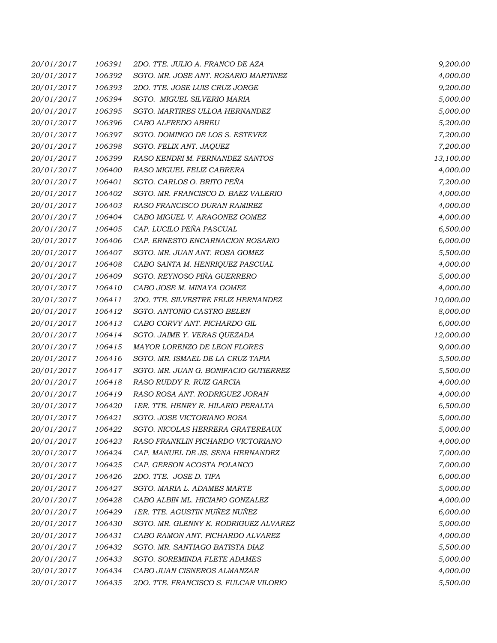| 20/01/2017 | 106391 | 2DO. TTE. JULIO A. FRANCO DE AZA      | 9,200.00  |
|------------|--------|---------------------------------------|-----------|
| 20/01/2017 | 106392 | SGTO. MR. JOSE ANT. ROSARIO MARTINEZ  | 4,000.00  |
| 20/01/2017 | 106393 | 2DO. TTE. JOSE LUIS CRUZ JORGE        | 9,200.00  |
| 20/01/2017 | 106394 | SGTO. MIGUEL SILVERIO MARIA           | 5,000.00  |
| 20/01/2017 | 106395 | SGTO. MARTIRES ULLOA HERNANDEZ        | 5,000.00  |
| 20/01/2017 | 106396 | CABO ALFREDO ABREU                    | 5,200.00  |
| 20/01/2017 | 106397 | SGTO. DOMINGO DE LOS S. ESTEVEZ       | 7,200.00  |
| 20/01/2017 | 106398 | SGTO. FELIX ANT. JAQUEZ               | 7,200.00  |
| 20/01/2017 | 106399 | RASO KENDRI M. FERNANDEZ SANTOS       | 13,100.00 |
| 20/01/2017 | 106400 | RASO MIGUEL FELIZ CABRERA             | 4,000.00  |
| 20/01/2017 | 106401 | SGTO. CARLOS O. BRITO PEÑA            | 7,200.00  |
| 20/01/2017 | 106402 | SGTO. MR. FRANCISCO D. BAEZ VALERIO   | 4,000.00  |
| 20/01/2017 | 106403 | RASO FRANCISCO DURAN RAMIREZ          | 4,000.00  |
| 20/01/2017 | 106404 | CABO MIGUEL V. ARAGONEZ GOMEZ         | 4,000.00  |
| 20/01/2017 | 106405 | CAP. LUCILO PEÑA PASCUAL              | 6,500.00  |
| 20/01/2017 | 106406 | CAP. ERNESTO ENCARNACION ROSARIO      | 6,000.00  |
| 20/01/2017 | 106407 | SGTO. MR. JUAN ANT. ROSA GOMEZ        | 5,500.00  |
| 20/01/2017 | 106408 | CABO SANTA M. HENRIQUEZ PASCUAL       | 4,000.00  |
| 20/01/2017 | 106409 | SGTO. REYNOSO PIÑA GUERRERO           | 5,000.00  |
| 20/01/2017 | 106410 | CABO JOSE M. MINAYA GOMEZ             | 4,000.00  |
| 20/01/2017 | 106411 | 2DO. TTE. SILVESTRE FELIZ HERNANDEZ   | 10,000.00 |
| 20/01/2017 | 106412 | SGTO. ANTONIO CASTRO BELEN            | 8,000.00  |
| 20/01/2017 | 106413 | CABO CORVY ANT. PICHARDO GIL          | 6,000.00  |
| 20/01/2017 | 106414 | SGTO. JAIME Y. VERAS QUEZADA          | 12,000.00 |
| 20/01/2017 | 106415 | MAYOR LORENZO DE LEON FLORES          | 9,000.00  |
| 20/01/2017 | 106416 | SGTO. MR. ISMAEL DE LA CRUZ TAPIA     | 5,500.00  |
| 20/01/2017 | 106417 | SGTO. MR. JUAN G. BONIFACIO GUTIERREZ | 5,500.00  |
| 20/01/2017 | 106418 | RASO RUDDY R. RUIZ GARCIA             | 4,000.00  |
| 20/01/2017 | 106419 | RASO ROSA ANT. RODRIGUEZ JORAN        | 4,000.00  |
| 20/01/2017 | 106420 | 1ER. TTE. HENRY R. HILARIO PERALTA    | 6,500.00  |
| 20/01/2017 | 106421 | SGTO. JOSE VICTORIANO ROSA            | 5,000.00  |
| 20/01/2017 | 106422 | SGTO. NICOLAS HERRERA GRATEREAUX      | 5,000.00  |
| 20/01/2017 | 106423 | RASO FRANKLIN PICHARDO VICTORIANO     | 4,000.00  |
| 20/01/2017 | 106424 | CAP. MANUEL DE JS. SENA HERNANDEZ     | 7,000.00  |
| 20/01/2017 | 106425 | CAP. GERSON ACOSTA POLANCO            | 7,000.00  |
| 20/01/2017 | 106426 | 2DO. TTE. JOSE D. TIFA                | 6,000.00  |
| 20/01/2017 | 106427 | SGTO. MARIA L. ADAMES MARTE           | 5,000.00  |
| 20/01/2017 | 106428 | CABO ALBIN ML. HICIANO GONZALEZ       | 4,000.00  |
| 20/01/2017 | 106429 | 1ER. TTE. AGUSTIN NUÑEZ NUÑEZ         | 6,000.00  |
| 20/01/2017 | 106430 | SGTO. MR. GLENNY K. RODRIGUEZ ALVAREZ | 5,000.00  |
| 20/01/2017 | 106431 | CABO RAMON ANT. PICHARDO ALVAREZ      | 4,000.00  |
| 20/01/2017 | 106432 | SGTO. MR. SANTIAGO BATISTA DIAZ       | 5,500.00  |
| 20/01/2017 | 106433 | SGTO. SOREMINDA FLETE ADAMES          | 5,000.00  |
| 20/01/2017 | 106434 | CABO JUAN CISNEROS ALMANZAR           | 4,000.00  |
| 20/01/2017 | 106435 | 2DO. TTE. FRANCISCO S. FULCAR VILORIO | 5,500.00  |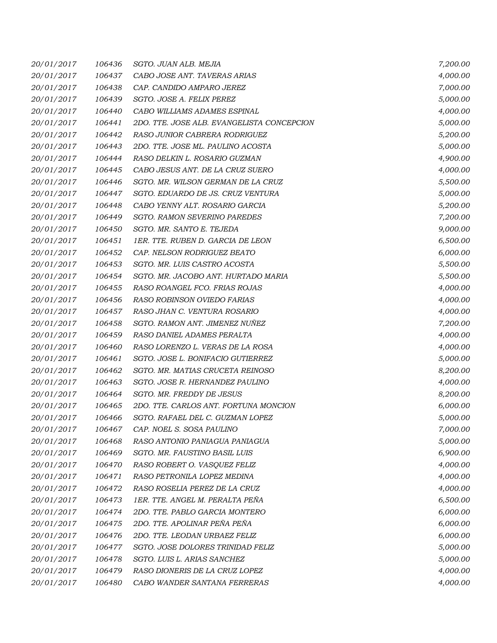| 20/01/2017 | 106436 | SGTO. JUAN ALB. MEJIA                      | 7,200.00 |
|------------|--------|--------------------------------------------|----------|
| 20/01/2017 | 106437 | CABO JOSE ANT. TAVERAS ARIAS               | 4,000.00 |
| 20/01/2017 | 106438 | CAP. CANDIDO AMPARO JEREZ                  | 7,000.00 |
| 20/01/2017 | 106439 | SGTO. JOSE A. FELIX PEREZ                  | 5,000.00 |
| 20/01/2017 | 106440 | CABO WILLIAMS ADAMES ESPINAL               | 4,000.00 |
| 20/01/2017 | 106441 | 2DO. TTE. JOSE ALB. EVANGELISTA CONCEPCION | 5,000.00 |
| 20/01/2017 | 106442 | RASO JUNIOR CABRERA RODRIGUEZ              | 5,200.00 |
| 20/01/2017 | 106443 | 2DO. TTE. JOSE ML. PAULINO ACOSTA          | 5,000.00 |
| 20/01/2017 | 106444 | RASO DELKIN L. ROSARIO GUZMAN              | 4,900.00 |
| 20/01/2017 | 106445 | CABO JESUS ANT. DE LA CRUZ SUERO           | 4,000.00 |
| 20/01/2017 | 106446 | SGTO. MR. WILSON GERMAN DE LA CRUZ         | 5,500.00 |
| 20/01/2017 | 106447 | SGTO. EDUARDO DE JS. CRUZ VENTURA          | 5,000.00 |
| 20/01/2017 | 106448 | CABO YENNY ALT. ROSARIO GARCIA             | 5,200.00 |
| 20/01/2017 | 106449 | <b>SGTO. RAMON SEVERINO PAREDES</b>        | 7,200.00 |
| 20/01/2017 | 106450 | SGTO. MR. SANTO E. TEJEDA                  | 9,000.00 |
| 20/01/2017 | 106451 | 1ER. TTE. RUBEN D. GARCIA DE LEON          | 6,500.00 |
| 20/01/2017 | 106452 | CAP. NELSON RODRIGUEZ BEATO                | 6,000.00 |
| 20/01/2017 | 106453 | SGTO. MR. LUIS CASTRO ACOSTA               | 5,500.00 |
| 20/01/2017 | 106454 | SGTO. MR. JACOBO ANT. HURTADO MARIA        | 5,500.00 |
| 20/01/2017 | 106455 | RASO ROANGEL FCO. FRIAS ROJAS              | 4,000.00 |
| 20/01/2017 | 106456 | RASO ROBINSON OVIEDO FARIAS                | 4,000.00 |
| 20/01/2017 | 106457 | RASO JHAN C. VENTURA ROSARIO               | 4,000.00 |
| 20/01/2017 | 106458 | SGTO. RAMON ANT. JIMENEZ NUÑEZ             | 7,200.00 |
| 20/01/2017 | 106459 | RASO DANIEL ADAMES PERALTA                 | 4,000.00 |
| 20/01/2017 | 106460 | RASO LORENZO L. VERAS DE LA ROSA           | 4,000.00 |
| 20/01/2017 | 106461 | SGTO. JOSE L. BONIFACIO GUTIERREZ          | 5,000.00 |
| 20/01/2017 | 106462 | SGTO. MR. MATIAS CRUCETA REINOSO           | 8,200.00 |
| 20/01/2017 | 106463 | SGTO. JOSE R. HERNANDEZ PAULINO            | 4,000.00 |
| 20/01/2017 | 106464 | SGTO. MR. FREDDY DE JESUS                  | 8,200.00 |
| 20/01/2017 | 106465 | 2DO. TTE. CARLOS ANT. FORTUNA MONCION      | 6,000.00 |
| 20/01/2017 | 106466 | SGTO. RAFAEL DEL C. GUZMAN LOPEZ           | 5,000.00 |
| 20/01/2017 | 106467 | CAP. NOEL S. SOSA PAULINO                  | 7,000.00 |
| 20/01/2017 | 106468 | RASO ANTONIO PANIAGUA PANIAGUA             | 5,000.00 |
| 20/01/2017 | 106469 | SGTO. MR. FAUSTINO BASIL LUIS              | 6,900.00 |
| 20/01/2017 | 106470 | RASO ROBERT O. VASQUEZ FELIZ               | 4,000.00 |
| 20/01/2017 | 106471 | RASO PETRONILA LOPEZ MEDINA                | 4,000.00 |
| 20/01/2017 | 106472 | RASO ROSELIA PEREZ DE LA CRUZ              | 4,000.00 |
| 20/01/2017 | 106473 | 1ER. TTE. ANGEL M. PERALTA PEÑA            | 6,500.00 |
| 20/01/2017 | 106474 | 2DO. TTE. PABLO GARCIA MONTERO             | 6,000.00 |
| 20/01/2017 | 106475 | 2DO. TTE. APOLINAR PEÑA PEÑA               | 6,000.00 |
| 20/01/2017 | 106476 | 2DO. TTE. LEODAN URBAEZ FELIZ              | 6,000.00 |
| 20/01/2017 | 106477 | SGTO. JOSE DOLORES TRINIDAD FELIZ          | 5,000.00 |
| 20/01/2017 | 106478 | SGTO. LUIS L. ARIAS SANCHEZ                | 5,000.00 |
| 20/01/2017 | 106479 | RASO DIONERIS DE LA CRUZ LOPEZ             | 4,000.00 |
| 20/01/2017 | 106480 | CABO WANDER SANTANA FERRERAS               | 4,000.00 |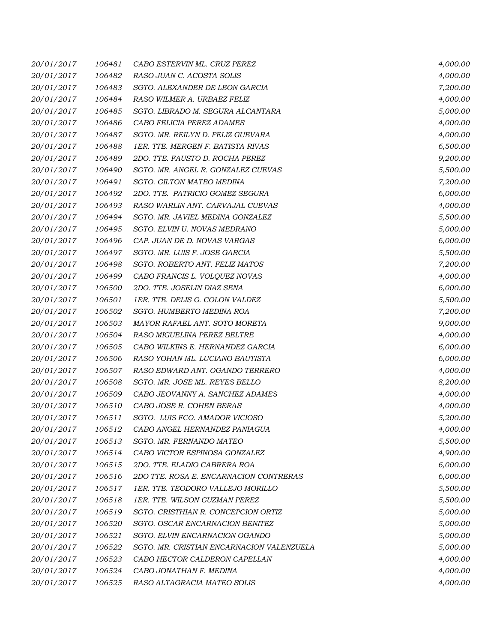| 20/01/2017 | 106481 | CABO ESTERVIN ML. CRUZ PEREZ              | 4,000.00 |
|------------|--------|-------------------------------------------|----------|
| 20/01/2017 | 106482 | RASO JUAN C. ACOSTA SOLIS                 | 4,000.00 |
| 20/01/2017 | 106483 | SGTO. ALEXANDER DE LEON GARCIA            | 7,200.00 |
| 20/01/2017 | 106484 | RASO WILMER A. URBAEZ FELIZ               | 4,000.00 |
| 20/01/2017 | 106485 | SGTO. LIBRADO M. SEGURA ALCANTARA         | 5,000.00 |
| 20/01/2017 | 106486 | CABO FELICIA PEREZ ADAMES                 | 4,000.00 |
| 20/01/2017 | 106487 | SGTO. MR. REILYN D. FELIZ GUEVARA         | 4,000.00 |
| 20/01/2017 | 106488 | 1ER. TTE. MERGEN F. BATISTA RIVAS         | 6,500.00 |
| 20/01/2017 | 106489 | 2DO. TTE. FAUSTO D. ROCHA PEREZ           | 9,200.00 |
| 20/01/2017 | 106490 | SGTO. MR. ANGEL R. GONZALEZ CUEVAS        | 5,500.00 |
| 20/01/2017 | 106491 | <b>SGTO. GILTON MATEO MEDINA</b>          | 7,200.00 |
| 20/01/2017 | 106492 | 2DO. TTE. PATRICIO GOMEZ SEGURA           | 6,000.00 |
| 20/01/2017 | 106493 | RASO WARLIN ANT. CARVAJAL CUEVAS          | 4,000.00 |
| 20/01/2017 | 106494 | SGTO. MR. JAVIEL MEDINA GONZALEZ          | 5,500.00 |
| 20/01/2017 | 106495 | SGTO. ELVIN U. NOVAS MEDRANO              | 5,000.00 |
| 20/01/2017 | 106496 | CAP. JUAN DE D. NOVAS VARGAS              | 6,000.00 |
| 20/01/2017 | 106497 | SGTO. MR. LUIS F. JOSE GARCIA             | 5,500.00 |
| 20/01/2017 | 106498 | SGTO. ROBERTO ANT. FELIZ MATOS            | 7,200.00 |
| 20/01/2017 | 106499 | CABO FRANCIS L. VOLQUEZ NOVAS             | 4,000.00 |
| 20/01/2017 | 106500 | 2DO. TTE. JOSELIN DIAZ SENA               | 6,000.00 |
| 20/01/2017 | 106501 | 1ER. TTE. DELIS G. COLON VALDEZ           | 5,500.00 |
| 20/01/2017 | 106502 | SGTO. HUMBERTO MEDINA ROA                 | 7,200.00 |
| 20/01/2017 | 106503 | MAYOR RAFAEL ANT. SOTO MORETA             | 9,000.00 |
| 20/01/2017 | 106504 | RASO MIGUELINA PEREZ BELTRE               | 4,000.00 |
| 20/01/2017 | 106505 | CABO WILKINS E. HERNANDEZ GARCIA          | 6,000.00 |
| 20/01/2017 | 106506 | RASO YOHAN ML. LUCIANO BAUTISTA           | 6,000.00 |
| 20/01/2017 | 106507 | RASO EDWARD ANT. OGANDO TERRERO           | 4,000.00 |
| 20/01/2017 | 106508 | SGTO. MR. JOSE ML. REYES BELLO            | 8,200.00 |
| 20/01/2017 | 106509 | CABO JEOVANNY A. SANCHEZ ADAMES           | 4,000.00 |
| 20/01/2017 | 106510 | CABO JOSE R. COHEN BERAS                  | 4,000.00 |
| 20/01/2017 | 106511 | SGTO. LUIS FCO. AMADOR VICIOSO            | 5,200.00 |
| 20/01/2017 | 106512 | CABO ANGEL HERNANDEZ PANIAGUA             | 4,000.00 |
| 20/01/2017 | 106513 | SGTO. MR. FERNANDO MATEO                  | 5,500.00 |
| 20/01/2017 | 106514 | CABO VICTOR ESPINOSA GONZALEZ             | 4,900.00 |
| 20/01/2017 | 106515 | 2DO. TTE. ELADIO CABRERA ROA              | 6,000.00 |
| 20/01/2017 | 106516 | 2DO TTE. ROSA E. ENCARNACION CONTRERAS    | 6,000.00 |
| 20/01/2017 | 106517 | 1ER. TTE. TEODORO VALLEJO MORILLO         | 5,500.00 |
| 20/01/2017 | 106518 | 1ER. TTE. WILSON GUZMAN PEREZ             | 5,500.00 |
| 20/01/2017 | 106519 | SGTO. CRISTHIAN R. CONCEPCION ORTIZ       | 5,000.00 |
| 20/01/2017 | 106520 | SGTO. OSCAR ENCARNACION BENITEZ           | 5,000.00 |
| 20/01/2017 | 106521 | SGTO. ELVIN ENCARNACION OGANDO            | 5,000.00 |
| 20/01/2017 | 106522 | SGTO. MR. CRISTIAN ENCARNACION VALENZUELA | 5,000.00 |
| 20/01/2017 | 106523 | CABO HECTOR CALDERON CAPELLAN             | 4,000.00 |
| 20/01/2017 | 106524 | CABO JONATHAN F. MEDINA                   | 4,000.00 |
| 20/01/2017 | 106525 | RASO ALTAGRACIA MATEO SOLIS               | 4,000.00 |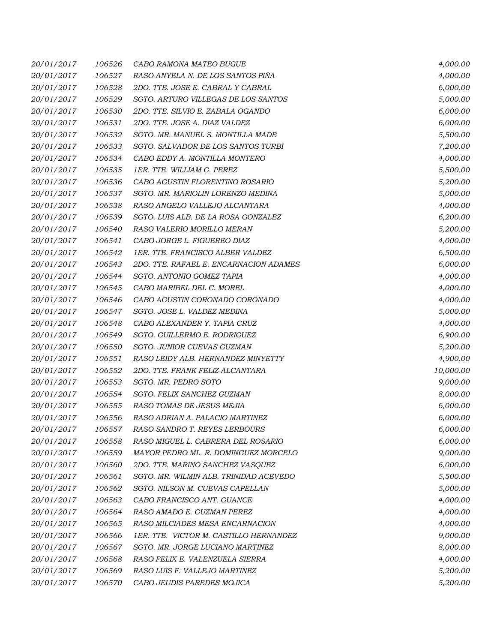| 20/01/2017 | 106526 | CABO RAMONA MATEO BUGUE                | 4,000.00  |
|------------|--------|----------------------------------------|-----------|
| 20/01/2017 | 106527 | RASO ANYELA N. DE LOS SANTOS PIÑA      | 4,000.00  |
| 20/01/2017 | 106528 | 2DO. TTE. JOSE E. CABRAL Y CABRAL      | 6,000.00  |
| 20/01/2017 | 106529 | SGTO. ARTURO VILLEGAS DE LOS SANTOS    | 5,000.00  |
| 20/01/2017 | 106530 | 2DO. TTE. SILVIO E. ZABALA OGANDO      | 6,000.00  |
| 20/01/2017 | 106531 | 2DO. TTE. JOSE A. DIAZ VALDEZ          | 6,000.00  |
| 20/01/2017 | 106532 | SGTO. MR. MANUEL S. MONTILLA MADE      | 5,500.00  |
| 20/01/2017 | 106533 | SGTO. SALVADOR DE LOS SANTOS TURBI     | 7,200.00  |
| 20/01/2017 | 106534 | CABO EDDY A. MONTILLA MONTERO          | 4,000.00  |
| 20/01/2017 | 106535 | 1ER. TTE. WILLIAM G. PEREZ             | 5,500.00  |
| 20/01/2017 | 106536 | CABO AGUSTIN FLORENTINO ROSARIO        | 5,200.00  |
| 20/01/2017 | 106537 | SGTO. MR. MARIOLIN LORENZO MEDINA      | 5,000.00  |
| 20/01/2017 | 106538 | RASO ANGELO VALLEJO ALCANTARA          | 4,000.00  |
| 20/01/2017 | 106539 | SGTO. LUIS ALB. DE LA ROSA GONZALEZ    | 6,200.00  |
| 20/01/2017 | 106540 | RASO VALERIO MORILLO MERAN             | 5,200.00  |
| 20/01/2017 | 106541 | CABO JORGE L. FIGUEREO DIAZ            | 4,000.00  |
| 20/01/2017 | 106542 | 1ER. TTE. FRANCISCO ALBER VALDEZ       | 6,500.00  |
| 20/01/2017 | 106543 | 2DO. TTE. RAFAEL E. ENCARNACION ADAMES | 6,000.00  |
| 20/01/2017 | 106544 | SGTO. ANTONIO GOMEZ TAPIA              | 4,000.00  |
| 20/01/2017 | 106545 | CABO MARIBEL DEL C. MOREL              | 4,000.00  |
| 20/01/2017 | 106546 | CABO AGUSTIN CORONADO CORONADO         | 4,000.00  |
| 20/01/2017 | 106547 | SGTO. JOSE L. VALDEZ MEDINA            | 5,000.00  |
| 20/01/2017 | 106548 | CABO ALEXANDER Y. TAPIA CRUZ           | 4,000.00  |
| 20/01/2017 | 106549 | SGTO. GUILLERMO E. RODRIGUEZ           | 6,900.00  |
| 20/01/2017 | 106550 | SGTO. JUNIOR CUEVAS GUZMAN             | 5,200.00  |
| 20/01/2017 | 106551 | RASO LEIDY ALB. HERNANDEZ MINYETTY     | 4,900.00  |
| 20/01/2017 | 106552 | 2DO. TTE. FRANK FELIZ ALCANTARA        | 10,000.00 |
| 20/01/2017 | 106553 | SGTO. MR. PEDRO SOTO                   | 9,000.00  |
| 20/01/2017 | 106554 | SGTO. FELIX SANCHEZ GUZMAN             | 8,000.00  |
| 20/01/2017 | 106555 | RASO TOMAS DE JESUS MEJIA              | 6,000.00  |
| 20/01/2017 | 106556 | RASO ADRIAN A. PALACIO MARTINEZ        | 6,000.00  |
| 20/01/2017 | 106557 | RASO SANDRO T. REYES LERBOURS          | 6,000.00  |
| 20/01/2017 | 106558 | RASO MIGUEL L. CABRERA DEL ROSARIO     | 6,000.00  |
| 20/01/2017 | 106559 | MAYOR PEDRO ML. R. DOMINGUEZ MORCELO   | 9,000.00  |
| 20/01/2017 | 106560 | 2DO. TTE. MARINO SANCHEZ VASQUEZ       | 6,000.00  |
| 20/01/2017 | 106561 | SGTO. MR. WILMIN ALB. TRINIDAD ACEVEDO | 5,500.00  |
| 20/01/2017 | 106562 | SGTO. NILSON M. CUEVAS CAPELLAN        | 5,000.00  |
| 20/01/2017 | 106563 | CABO FRANCISCO ANT. GUANCE             | 4,000.00  |
| 20/01/2017 | 106564 | RASO AMADO E. GUZMAN PEREZ             | 4,000.00  |
| 20/01/2017 | 106565 | RASO MILCIADES MESA ENCARNACION        | 4,000.00  |
| 20/01/2017 | 106566 | 1ER. TTE. VICTOR M. CASTILLO HERNANDEZ | 9,000.00  |
| 20/01/2017 | 106567 | SGTO. MR. JORGE LUCIANO MARTINEZ       | 8,000.00  |
| 20/01/2017 | 106568 | RASO FELIX E. VALENZUELA SIERRA        | 4,000.00  |
| 20/01/2017 | 106569 | RASO LUIS F. VALLEJO MARTINEZ          | 5,200.00  |
| 20/01/2017 | 106570 | CABO JEUDIS PAREDES MOJICA             | 5,200.00  |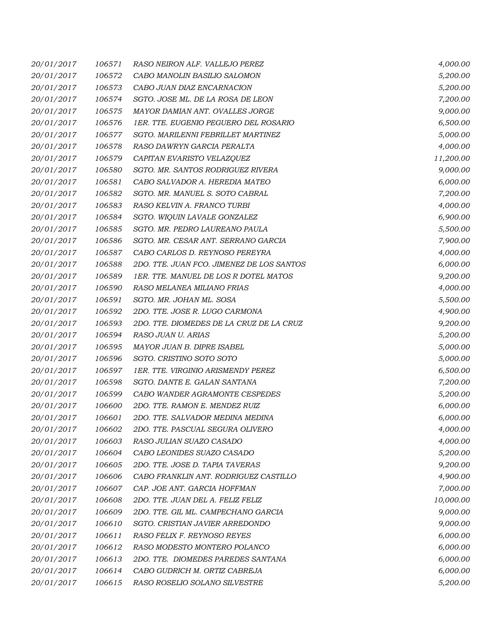| 20/01/2017 | 106571 | RASO NEIRON ALF. VALLEJO PEREZ            | 4,000.00  |
|------------|--------|-------------------------------------------|-----------|
| 20/01/2017 | 106572 | CABO MANOLIN BASILIO SALOMON              | 5,200.00  |
| 20/01/2017 | 106573 | CABO JUAN DIAZ ENCARNACION                | 5,200.00  |
| 20/01/2017 | 106574 | SGTO. JOSE ML. DE LA ROSA DE LEON         | 7,200.00  |
| 20/01/2017 | 106575 | MAYOR DAMIAN ANT. OVALLES JORGE           | 9,000.00  |
| 20/01/2017 | 106576 | 1ER. TTE. EUGENIO PEGUERO DEL ROSARIO     | 6,500.00  |
| 20/01/2017 | 106577 | SGTO. MARILENNI FEBRILLET MARTINEZ        | 5,000.00  |
| 20/01/2017 | 106578 | RASO DAWRYN GARCIA PERALTA                | 4,000.00  |
| 20/01/2017 | 106579 | CAPITAN EVARISTO VELAZQUEZ                | 11,200.00 |
| 20/01/2017 | 106580 | SGTO. MR. SANTOS RODRIGUEZ RIVERA         | 9,000.00  |
| 20/01/2017 | 106581 | CABO SALVADOR A. HEREDIA MATEO            | 6,000.00  |
| 20/01/2017 | 106582 | SGTO. MR. MANUEL S. SOTO CABRAL           | 7,200.00  |
| 20/01/2017 | 106583 | RASO KELVIN A. FRANCO TURBI               | 4,000.00  |
| 20/01/2017 | 106584 | SGTO. WIQUIN LAVALE GONZALEZ              | 6,900.00  |
| 20/01/2017 | 106585 | SGTO. MR. PEDRO LAUREANO PAULA            | 5,500.00  |
| 20/01/2017 | 106586 | SGTO. MR. CESAR ANT. SERRANO GARCIA       | 7,900.00  |
| 20/01/2017 | 106587 | CABO CARLOS D. REYNOSO PEREYRA            | 4,000.00  |
| 20/01/2017 | 106588 | 2DO. TTE. JUAN FCO. JIMENEZ DE LOS SANTOS | 6,000.00  |
| 20/01/2017 | 106589 | 1ER. TTE. MANUEL DE LOS R DOTEL MATOS     | 9,200.00  |
| 20/01/2017 | 106590 | RASO MELANEA MILIANO FRIAS                | 4,000.00  |
| 20/01/2017 | 106591 | SGTO. MR. JOHAN ML. SOSA                  | 5,500.00  |
| 20/01/2017 | 106592 | 2DO. TTE. JOSE R. LUGO CARMONA            | 4,900.00  |
| 20/01/2017 | 106593 | 2DO. TTE. DIOMEDES DE LA CRUZ DE LA CRUZ  | 9,200.00  |
| 20/01/2017 | 106594 | RASO JUAN U. ARIAS                        | 5,200.00  |
| 20/01/2017 | 106595 | MAYOR JUAN B. DIPRE ISABEL                | 5,000.00  |
| 20/01/2017 | 106596 | SGTO. CRISTINO SOTO SOTO                  | 5,000.00  |
| 20/01/2017 | 106597 | 1ER. TTE. VIRGINIO ARISMENDY PEREZ        | 6,500.00  |
| 20/01/2017 | 106598 | SGTO. DANTE E. GALAN SANTANA              | 7,200.00  |
| 20/01/2017 | 106599 | CABO WANDER AGRAMONTE CESPEDES            | 5,200.00  |
| 20/01/2017 | 106600 | 2DO. TTE. RAMON E. MENDEZ RUIZ            | 6,000.00  |
| 20/01/2017 | 106601 | 2DO. TTE. SALVADOR MEDINA MEDINA          | 6,000.00  |
| 20/01/2017 | 106602 | 2DO. TTE. PASCUAL SEGURA OLIVERO          | 4,000.00  |
| 20/01/2017 | 106603 | RASO JULIAN SUAZO CASADO                  | 4,000.00  |
| 20/01/2017 | 106604 | CABO LEONIDES SUAZO CASADO                | 5,200.00  |
| 20/01/2017 | 106605 | 2DO. TTE. JOSE D. TAPIA TAVERAS           | 9,200.00  |
| 20/01/2017 | 106606 | CABO FRANKLIN ANT. RODRIGUEZ CASTILLO     | 4,900.00  |
| 20/01/2017 | 106607 | CAP. JOE ANT. GARCIA HOFFMAN              | 7,000.00  |
| 20/01/2017 | 106608 | 2DO. TTE. JUAN DEL A. FELIZ FELIZ         | 10,000.00 |
| 20/01/2017 | 106609 | 2DO. TTE. GIL ML. CAMPECHANO GARCIA       | 9,000.00  |
| 20/01/2017 | 106610 | SGTO. CRISTIAN JAVIER ARREDONDO           | 9,000.00  |
| 20/01/2017 | 106611 | RASO FELIX F. REYNOSO REYES               | 6,000.00  |
| 20/01/2017 | 106612 | RASO MODESTO MONTERO POLANCO              | 6,000.00  |
| 20/01/2017 | 106613 | 2DO. TTE. DIOMEDES PAREDES SANTANA        | 6,000.00  |
| 20/01/2017 | 106614 | CABO GUDRICH M. ORTIZ CABREJA             | 6,000.00  |
| 20/01/2017 | 106615 | RASO ROSELIO SOLANO SILVESTRE             | 5,200.00  |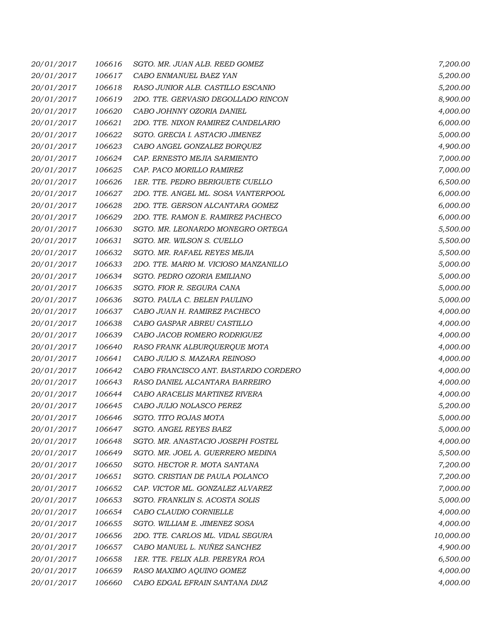| 20/01/2017 | 106616 | SGTO. MR. JUAN ALB. REED GOMEZ        | 7,200.00  |
|------------|--------|---------------------------------------|-----------|
| 20/01/2017 | 106617 | CABO ENMANUEL BAEZ YAN                | 5,200.00  |
| 20/01/2017 | 106618 | RASO JUNIOR ALB. CASTILLO ESCANIO     | 5,200.00  |
| 20/01/2017 | 106619 | 2DO. TTE. GERVASIO DEGOLLADO RINCON   | 8,900.00  |
| 20/01/2017 | 106620 | CABO JOHNNY OZORIA DANIEL             | 4,000.00  |
| 20/01/2017 | 106621 | 2DO. TTE. NIXON RAMIREZ CANDELARIO    | 6,000.00  |
| 20/01/2017 | 106622 | SGTO. GRECIA I. ASTACIO JIMENEZ       | 5,000.00  |
| 20/01/2017 | 106623 | CABO ANGEL GONZALEZ BORQUEZ           | 4,900.00  |
| 20/01/2017 | 106624 | CAP. ERNESTO MEJIA SARMIENTO          | 7,000.00  |
| 20/01/2017 | 106625 | CAP. PACO MORILLO RAMIREZ             | 7,000.00  |
| 20/01/2017 | 106626 | 1ER. TTE. PEDRO BERIGUETE CUELLO      | 6,500.00  |
| 20/01/2017 | 106627 | 2DO. TTE. ANGEL ML. SOSA VANTERPOOL   | 6,000.00  |
| 20/01/2017 | 106628 | 2DO. TTE. GERSON ALCANTARA GOMEZ      | 6,000.00  |
| 20/01/2017 | 106629 | 2DO. TTE. RAMON E. RAMIREZ PACHECO    | 6,000.00  |
| 20/01/2017 | 106630 | SGTO. MR. LEONARDO MONEGRO ORTEGA     | 5,500.00  |
| 20/01/2017 | 106631 | SGTO. MR. WILSON S. CUELLO            | 5,500.00  |
| 20/01/2017 | 106632 | SGTO. MR. RAFAEL REYES MEJIA          | 5,500.00  |
| 20/01/2017 | 106633 | 2DO. TTE. MARIO M. VICIOSO MANZANILLO | 5,000.00  |
| 20/01/2017 | 106634 | SGTO. PEDRO OZORIA EMILIANO           | 5,000.00  |
| 20/01/2017 | 106635 | SGTO. FIOR R. SEGURA CANA             | 5,000.00  |
| 20/01/2017 | 106636 | SGTO. PAULA C. BELEN PAULINO          | 5,000.00  |
| 20/01/2017 | 106637 | CABO JUAN H. RAMIREZ PACHECO          | 4,000.00  |
| 20/01/2017 | 106638 | CABO GASPAR ABREU CASTILLO            | 4,000.00  |
| 20/01/2017 | 106639 | CABO JACOB ROMERO RODRIGUEZ           | 4,000.00  |
| 20/01/2017 | 106640 | RASO FRANK ALBURQUERQUE MOTA          | 4,000.00  |
| 20/01/2017 | 106641 | CABO JULIO S. MAZARA REINOSO          | 4,000.00  |
| 20/01/2017 | 106642 | CABO FRANCISCO ANT. BASTARDO CORDERO  | 4,000.00  |
| 20/01/2017 | 106643 | RASO DANIEL ALCANTARA BARREIRO        | 4,000.00  |
| 20/01/2017 | 106644 | CABO ARACELIS MARTINEZ RIVERA         | 4,000.00  |
| 20/01/2017 | 106645 | CABO JULIO NOLASCO PEREZ              | 5,200.00  |
| 20/01/2017 | 106646 | SGTO. TITO ROJAS MOTA                 | 5,000.00  |
| 20/01/2017 | 106647 | SGTO. ANGEL REYES BAEZ                | 5,000.00  |
| 20/01/2017 | 106648 | SGTO. MR. ANASTACIO JOSEPH FOSTEL     | 4,000.00  |
| 20/01/2017 | 106649 | SGTO. MR. JOEL A. GUERRERO MEDINA     | 5,500.00  |
| 20/01/2017 | 106650 | SGTO. HECTOR R. MOTA SANTANA          | 7,200.00  |
| 20/01/2017 | 106651 | SGTO. CRISTIAN DE PAULA POLANCO       | 7,200.00  |
| 20/01/2017 | 106652 | CAP. VICTOR ML. GONZALEZ ALVAREZ      | 7,000.00  |
| 20/01/2017 | 106653 | SGTO. FRANKLIN S. ACOSTA SOLIS        | 5,000.00  |
| 20/01/2017 | 106654 | CABO CLAUDIO CORNIELLE                | 4,000.00  |
| 20/01/2017 | 106655 | SGTO. WILLIAM E. JIMENEZ SOSA         | 4,000.00  |
| 20/01/2017 | 106656 | 2DO. TTE. CARLOS ML. VIDAL SEGURA     | 10,000.00 |
| 20/01/2017 | 106657 | CABO MANUEL L. NUÑEZ SANCHEZ          | 4,900.00  |
| 20/01/2017 | 106658 | 1ER. TTE. FELIX ALB. PEREYRA ROA      | 6,500.00  |
| 20/01/2017 | 106659 | RASO MAXIMO AQUINO GOMEZ              | 4,000.00  |
| 20/01/2017 | 106660 | CABO EDGAL EFRAIN SANTANA DIAZ        | 4,000.00  |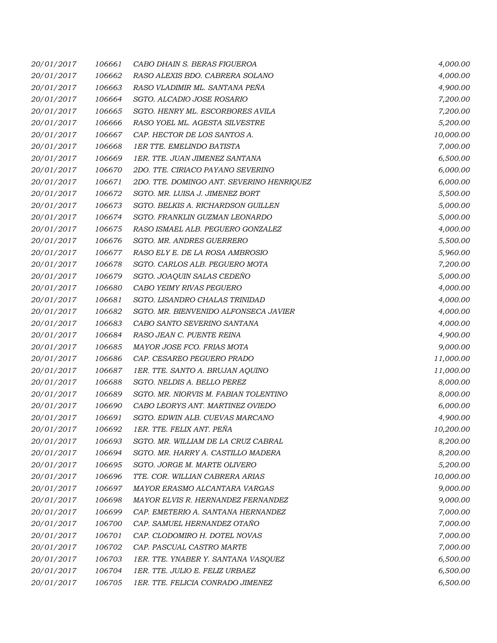| 20/01/2017 | 106661 | CABO DHAIN S. BERAS FIGUEROA              | 4,000.00  |
|------------|--------|-------------------------------------------|-----------|
| 20/01/2017 | 106662 | RASO ALEXIS BDO. CABRERA SOLANO           | 4,000.00  |
| 20/01/2017 | 106663 | RASO VLADIMIR ML. SANTANA PEÑA            | 4,900.00  |
| 20/01/2017 | 106664 | SGTO. ALCADIO JOSE ROSARIO                | 7,200.00  |
| 20/01/2017 | 106665 | SGTO. HENRY ML. ESCORBORES AVILA          | 7,200.00  |
| 20/01/2017 | 106666 | RASO YOEL ML. AGESTA SILVESTRE            | 5,200.00  |
| 20/01/2017 | 106667 | CAP. HECTOR DE LOS SANTOS A.              | 10,000.00 |
| 20/01/2017 | 106668 | <b>1ER TTE. EMELINDO BATISTA</b>          | 7,000.00  |
| 20/01/2017 | 106669 | 1ER. TTE. JUAN JIMENEZ SANTANA            | 6,500.00  |
| 20/01/2017 | 106670 | 2DO. TTE. CIRIACO PAYANO SEVERINO         | 6,000.00  |
| 20/01/2017 | 106671 | 2DO. TTE. DOMINGO ANT. SEVERINO HENRIQUEZ | 6,000.00  |
| 20/01/2017 | 106672 | SGTO. MR. LUISA J. JIMENEZ BORT           | 5,500.00  |
| 20/01/2017 | 106673 | SGTO. BELKIS A. RICHARDSON GUILLEN        | 5,000.00  |
| 20/01/2017 | 106674 | SGTO. FRANKLIN GUZMAN LEONARDO            | 5,000.00  |
| 20/01/2017 | 106675 | RASO ISMAEL ALB. PEGUERO GONZALEZ         | 4,000.00  |
| 20/01/2017 | 106676 | SGTO. MR. ANDRES GUERRERO                 | 5,500.00  |
| 20/01/2017 | 106677 | RASO ELY E. DE LA ROSA AMBROSIO           | 5,960.00  |
| 20/01/2017 | 106678 | SGTO. CARLOS ALB. PEGUERO MOTA            | 7,200.00  |
| 20/01/2017 | 106679 | SGTO. JOAQUIN SALAS CEDEÑO                | 5,000.00  |
| 20/01/2017 | 106680 | CABO YEIMY RIVAS PEGUERO                  | 4,000.00  |
| 20/01/2017 | 106681 | SGTO. LISANDRO CHALAS TRINIDAD            | 4,000.00  |
| 20/01/2017 | 106682 | SGTO. MR. BIENVENIDO ALFONSECA JAVIER     | 4,000.00  |
| 20/01/2017 | 106683 | CABO SANTO SEVERINO SANTANA               | 4,000.00  |
| 20/01/2017 | 106684 | RASO JEAN C. PUENTE REINA                 | 4,900.00  |
| 20/01/2017 | 106685 | MAYOR JOSE FCO. FRIAS MOTA                | 9,000.00  |
| 20/01/2017 | 106686 | CAP. CESAREO PEGUERO PRADO                | 11,000.00 |
| 20/01/2017 | 106687 | 1ER. TTE. SANTO A. BRUJAN AQUINO          | 11,000.00 |
| 20/01/2017 | 106688 | SGTO. NELDIS A. BELLO PEREZ               | 8,000.00  |
| 20/01/2017 | 106689 | SGTO. MR. NIORVIS M. FABIAN TOLENTINO     | 8,000.00  |
| 20/01/2017 | 106690 | CABO LEORYS ANT. MARTINEZ OVIEDO          | 6,000.00  |
| 20/01/2017 | 106691 | SGTO. EDWIN ALB. CUEVAS MARCANO           | 4,900.00  |
| 20/01/2017 | 106692 | 1ER. TTE. FELIX ANT. PEÑA                 | 10,200.00 |
| 20/01/2017 | 106693 | SGTO. MR. WILLIAM DE LA CRUZ CABRAL       | 8,200.00  |
| 20/01/2017 | 106694 | SGTO. MR. HARRY A. CASTILLO MADERA        | 8,200.00  |
| 20/01/2017 | 106695 | SGTO. JORGE M. MARTE OLIVERO              | 5,200.00  |
| 20/01/2017 | 106696 | TTE. COR. WILLIAN CABRERA ARIAS           | 10,000.00 |
| 20/01/2017 | 106697 | MAYOR ERASMO ALCANTARA VARGAS             | 9,000.00  |
| 20/01/2017 | 106698 | MAYOR ELVIS R. HERNANDEZ FERNANDEZ        | 9,000.00  |
| 20/01/2017 | 106699 | CAP. EMETERIO A. SANTANA HERNANDEZ        | 7,000.00  |
| 20/01/2017 | 106700 | CAP. SAMUEL HERNANDEZ OTAÑO               | 7,000.00  |
| 20/01/2017 | 106701 | CAP. CLODOMIRO H. DOTEL NOVAS             | 7,000.00  |
| 20/01/2017 | 106702 | CAP. PASCUAL CASTRO MARTE                 | 7,000.00  |
| 20/01/2017 | 106703 | 1ER. TTE. YNABER Y. SANTANA VASQUEZ       | 6,500.00  |
| 20/01/2017 | 106704 | 1ER. TTE. JULIO E. FELIZ URBAEZ           | 6,500.00  |
| 20/01/2017 | 106705 | 1ER. TTE. FELICIA CONRADO JIMENEZ         | 6,500.00  |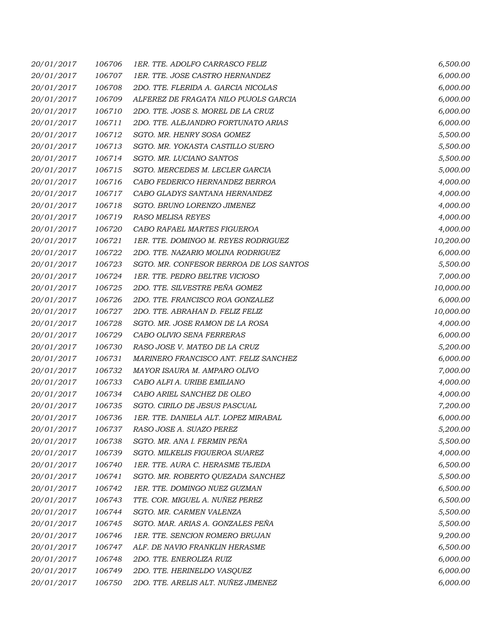| 20/01/2017 | 106706 | 1ER. TTE. ADOLFO CARRASCO FELIZ         | 6,500.00  |
|------------|--------|-----------------------------------------|-----------|
| 20/01/2017 | 106707 | 1ER. TTE. JOSE CASTRO HERNANDEZ         | 6,000.00  |
| 20/01/2017 | 106708 | 2DO. TTE. FLERIDA A. GARCIA NICOLAS     | 6,000.00  |
| 20/01/2017 | 106709 | ALFEREZ DE FRAGATA NILO PUJOLS GARCIA   | 6,000.00  |
| 20/01/2017 | 106710 | 2DO. TTE. JOSE S. MOREL DE LA CRUZ      | 6,000.00  |
| 20/01/2017 | 106711 | 2DO. TTE. ALEJANDRO FORTUNATO ARIAS     | 6,000.00  |
| 20/01/2017 | 106712 | SGTO. MR. HENRY SOSA GOMEZ              | 5,500.00  |
| 20/01/2017 | 106713 | SGTO. MR. YOKASTA CASTILLO SUERO        | 5,500.00  |
| 20/01/2017 | 106714 | SGTO. MR. LUCIANO SANTOS                | 5,500.00  |
| 20/01/2017 | 106715 | SGTO. MERCEDES M. LECLER GARCIA         | 5,000.00  |
| 20/01/2017 | 106716 | CABO FEDERICO HERNANDEZ BERROA          | 4,000.00  |
| 20/01/2017 | 106717 | CABO GLADYS SANTANA HERNANDEZ           | 4,000.00  |
| 20/01/2017 | 106718 | SGTO. BRUNO LORENZO JIMENEZ             | 4,000.00  |
| 20/01/2017 | 106719 | <b>RASO MELISA REYES</b>                | 4,000.00  |
| 20/01/2017 | 106720 | CABO RAFAEL MARTES FIGUEROA             | 4,000.00  |
| 20/01/2017 | 106721 | 1ER. TTE. DOMINGO M. REYES RODRIGUEZ    | 10,200.00 |
| 20/01/2017 | 106722 | 2DO. TTE. NAZARIO MOLINA RODRIGUEZ      | 6,000.00  |
| 20/01/2017 | 106723 | SGTO. MR. CONFESOR BERROA DE LOS SANTOS | 5,500.00  |
| 20/01/2017 | 106724 | 1ER. TTE. PEDRO BELTRE VICIOSO          | 7,000.00  |
| 20/01/2017 | 106725 | 2DO. TTE. SILVESTRE PEÑA GOMEZ          | 10,000.00 |
| 20/01/2017 | 106726 | 2DO. TTE. FRANCISCO ROA GONZALEZ        | 6,000.00  |
| 20/01/2017 | 106727 | 2DO. TTE. ABRAHAN D. FELIZ FELIZ        | 10,000.00 |
| 20/01/2017 | 106728 | SGTO. MR. JOSE RAMON DE LA ROSA         | 4,000.00  |
| 20/01/2017 | 106729 | CABO OLIVIO SENA FERRERAS               | 6,000.00  |
| 20/01/2017 | 106730 | RASO JOSE V. MATEO DE LA CRUZ           | 5,200.00  |
| 20/01/2017 | 106731 | MARINERO FRANCISCO ANT. FELIZ SANCHEZ   | 6,000.00  |
| 20/01/2017 | 106732 | MAYOR ISAURA M. AMPARO OLIVO            | 7,000.00  |
| 20/01/2017 | 106733 | CABO ALFI A. URIBE EMILIANO             | 4,000.00  |
| 20/01/2017 | 106734 | CABO ARIEL SANCHEZ DE OLEO              | 4,000.00  |
| 20/01/2017 | 106735 | SGTO. CIRILO DE JESUS PASCUAL           | 7,200.00  |
| 20/01/2017 | 106736 | 1ER. TTE. DANIELA ALT. LOPEZ MIRABAL    | 6,000.00  |
| 20/01/2017 | 106737 | RASO JOSE A. SUAZO PEREZ                | 5,200.00  |
| 20/01/2017 | 106738 | SGTO. MR. ANA I. FERMIN PEÑA            | 5,500.00  |
| 20/01/2017 | 106739 | SGTO. MILKELIS FIGUEROA SUAREZ          | 4,000.00  |
| 20/01/2017 | 106740 | 1ER. TTE. AURA C. HERASME TEJEDA        | 6,500.00  |
| 20/01/2017 | 106741 | SGTO. MR. ROBERTO QUEZADA SANCHEZ       | 5,500.00  |
| 20/01/2017 | 106742 | 1ER. TTE. DOMINGO NUEZ GUZMAN           | 6,500.00  |
| 20/01/2017 | 106743 | TTE. COR. MIGUEL A. NUÑEZ PEREZ         | 6,500.00  |
| 20/01/2017 | 106744 | SGTO. MR. CARMEN VALENZA                | 5,500.00  |
| 20/01/2017 | 106745 | SGTO. MAR. ARIAS A. GONZALES PEÑA       | 5,500.00  |
| 20/01/2017 | 106746 | 1ER. TTE. SENCION ROMERO BRUJAN         | 9,200.00  |
| 20/01/2017 | 106747 | ALF. DE NAVIO FRANKLIN HERASME          | 6,500.00  |
| 20/01/2017 | 106748 | 2DO. TTE. ENEROLIZA RUIZ                | 6,000.00  |
| 20/01/2017 | 106749 | 2DO. TTE. HERINELDO VASQUEZ             | 6,000.00  |
| 20/01/2017 | 106750 | 2DO. TTE. ARELIS ALT. NUÑEZ JIMENEZ     | 6,000.00  |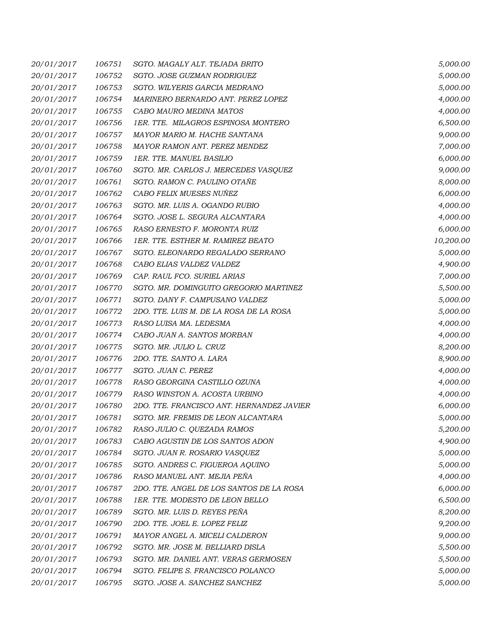| 20/01/2017 | 106751 | SGTO. MAGALY ALT. TEJADA BRITO            | 5,000.00  |
|------------|--------|-------------------------------------------|-----------|
| 20/01/2017 | 106752 | SGTO. JOSE GUZMAN RODRIGUEZ               | 5,000.00  |
| 20/01/2017 | 106753 | SGTO. WILYERIS GARCIA MEDRANO             | 5,000.00  |
| 20/01/2017 | 106754 | MARINERO BERNARDO ANT. PEREZ LOPEZ        | 4,000.00  |
| 20/01/2017 | 106755 | CABO MAURO MEDINA MATOS                   | 4,000.00  |
| 20/01/2017 | 106756 | 1ER. TTE. MILAGROS ESPINOSA MONTERO       | 6,500.00  |
| 20/01/2017 | 106757 | MAYOR MARIO M. HACHE SANTANA              | 9,000.00  |
| 20/01/2017 | 106758 | MAYOR RAMON ANT. PEREZ MENDEZ             | 7,000.00  |
| 20/01/2017 | 106759 | 1ER. TTE. MANUEL BASILIO                  | 6,000.00  |
| 20/01/2017 | 106760 | SGTO. MR. CARLOS J. MERCEDES VASQUEZ      | 9,000.00  |
| 20/01/2017 | 106761 | SGTO. RAMON C. PAULINO OTAÑE              | 8,000.00  |
| 20/01/2017 | 106762 | CABO FELIX MUESES NUÑEZ                   | 6,000.00  |
| 20/01/2017 | 106763 | SGTO. MR. LUIS A. OGANDO RUBIO            | 4,000.00  |
| 20/01/2017 | 106764 | SGTO. JOSE L. SEGURA ALCANTARA            | 4,000.00  |
| 20/01/2017 | 106765 | RASO ERNESTO F. MORONTA RUIZ              | 6,000.00  |
| 20/01/2017 | 106766 | 1ER. TTE. ESTHER M. RAMIREZ BEATO         | 10,200.00 |
| 20/01/2017 | 106767 | SGTO. ELEONARDO REGALADO SERRANO          | 5,000.00  |
| 20/01/2017 | 106768 | CABO ELIAS VALDEZ VALDEZ                  | 4,900.00  |
| 20/01/2017 | 106769 | CAP. RAUL FCO. SURIEL ARIAS               | 7,000.00  |
| 20/01/2017 | 106770 | SGTO. MR. DOMINGUITO GREGORIO MARTINEZ    | 5,500.00  |
| 20/01/2017 | 106771 | SGTO. DANY F. CAMPUSANO VALDEZ            | 5,000.00  |
| 20/01/2017 | 106772 | 2DO. TTE. LUIS M. DE LA ROSA DE LA ROSA   | 5,000.00  |
| 20/01/2017 | 106773 | RASO LUISA MA. LEDESMA                    | 4,000.00  |
| 20/01/2017 | 106774 | CABO JUAN A. SANTOS MORBAN                | 4,000.00  |
| 20/01/2017 | 106775 | SGTO. MR. JULIO L. CRUZ                   | 8,200.00  |
| 20/01/2017 | 106776 | 2DO. TTE. SANTO A. LARA                   | 8,900.00  |
| 20/01/2017 | 106777 | SGTO. JUAN C. PEREZ                       | 4,000.00  |
| 20/01/2017 | 106778 | RASO GEORGINA CASTILLO OZUNA              | 4,000.00  |
| 20/01/2017 | 106779 | RASO WINSTON A. ACOSTA URBINO             | 4,000.00  |
| 20/01/2017 | 106780 | 2DO. TTE. FRANCISCO ANT. HERNANDEZ JAVIER | 6,000.00  |
| 20/01/2017 | 106781 | SGTO. MR. FREMIS DE LEON ALCANTARA        | 5,000.00  |
| 20/01/2017 | 106782 | RASO JULIO C. QUEZADA RAMOS               | 5,200.00  |
| 20/01/2017 | 106783 | CABO AGUSTIN DE LOS SANTOS ADON           | 4,900.00  |
| 20/01/2017 | 106784 | SGTO. JUAN R. ROSARIO VASQUEZ             | 5,000.00  |
| 20/01/2017 | 106785 | SGTO. ANDRES C. FIGUEROA AQUINO           | 5,000.00  |
| 20/01/2017 | 106786 | RASO MANUEL ANT. MEJIA PEÑA               | 4,000.00  |
| 20/01/2017 | 106787 | 2DO. TTE. ANGEL DE LOS SANTOS DE LA ROSA  | 6,000.00  |
| 20/01/2017 | 106788 | 1ER. TTE. MODESTO DE LEON BELLO           | 6,500.00  |
| 20/01/2017 | 106789 | SGTO. MR. LUIS D. REYES PEÑA              | 8,200.00  |
| 20/01/2017 | 106790 | 2DO. TTE. JOEL E. LOPEZ FELIZ             | 9,200.00  |
| 20/01/2017 | 106791 | MAYOR ANGEL A. MICELI CALDERON            | 9,000.00  |
| 20/01/2017 | 106792 | SGTO. MR. JOSE M. BELLIARD DISLA          | 5,500.00  |
| 20/01/2017 | 106793 | SGTO. MR. DANIEL ANT. VERAS GERMOSEN      | 5,500.00  |
| 20/01/2017 | 106794 | SGTO. FELIPE S. FRANCISCO POLANCO         | 5,000.00  |
| 20/01/2017 | 106795 | SGTO. JOSE A. SANCHEZ SANCHEZ             | 5,000.00  |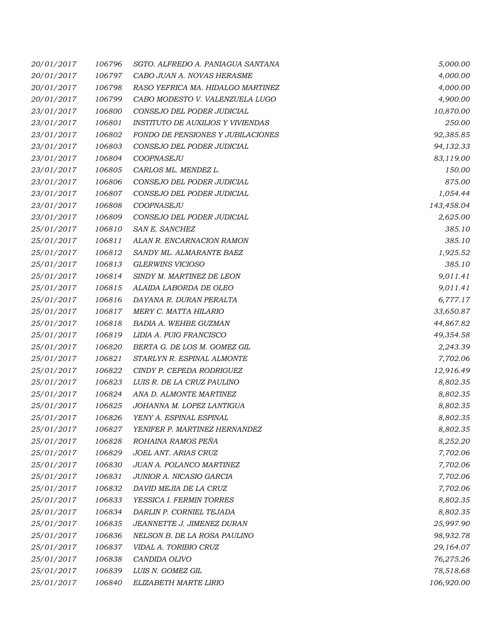| 20/01/2017 | 106796 | SGTO. ALFREDO A. PANIAGUA SANTANA        | 5,000.00   |
|------------|--------|------------------------------------------|------------|
| 20/01/2017 | 106797 | CABO JUAN A. NOVAS HERASME               | 4,000.00   |
| 20/01/2017 | 106798 | RASO YEFRICA MA. HIDALGO MARTINEZ        | 4,000.00   |
| 20/01/2017 | 106799 | CABO MODESTO V. VALENZUELA LUGO          | 4,900.00   |
| 23/01/2017 | 106800 | CONSEJO DEL PODER JUDICIAL               | 10,870.00  |
| 23/01/2017 | 106801 | <b>INSTITUTO DE AUXILIOS Y VIVIENDAS</b> | 250.00     |
| 23/01/2017 | 106802 | FONDO DE PENSIONES Y JUBILACIONES        | 92,385.85  |
| 23/01/2017 | 106803 | CONSEJO DEL PODER JUDICIAL               | 94,132.33  |
| 23/01/2017 | 106804 | COOPNASEJU                               | 83,119.00  |
| 23/01/2017 | 106805 | CARLOS ML. MENDEZ L.                     | 150.00     |
| 23/01/2017 | 106806 | CONSEJO DEL PODER JUDICIAL               | 875.00     |
| 23/01/2017 | 106807 | CONSEJO DEL PODER JUDICIAL               | 1,054.44   |
| 23/01/2017 | 106808 | COOPNASEJU                               | 143,458.04 |
| 23/01/2017 | 106809 | CONSEJO DEL PODER JUDICIAL               | 2,625.00   |
| 25/01/2017 | 106810 | SAN E. SANCHEZ                           | 385.10     |
| 25/01/2017 | 106811 | ALAN R. ENCARNACION RAMON                | 385.10     |
| 25/01/2017 | 106812 | SANDY ML. ALMARANTE BAEZ                 | 1,925.52   |
| 25/01/2017 | 106813 | <b>GLERWINS VICIOSO</b>                  | 385.10     |
| 25/01/2017 | 106814 | SINDY M. MARTINEZ DE LEON                | 9,011.41   |
| 25/01/2017 | 106815 | ALAIDA LABORDA DE OLEO                   | 9,011.41   |
| 25/01/2017 | 106816 | DAYANA R. DURAN PERALTA                  | 6,777.17   |
| 25/01/2017 | 106817 | MERY C. MATTA HILARIO                    | 33,650.87  |
| 25/01/2017 | 106818 | BADIA A. WEHBE GUZMAN                    | 44,867.82  |
| 25/01/2017 | 106819 | LIDIA A. PUIG FRANCISCO                  | 49,354.58  |
| 25/01/2017 | 106820 | BERTA G. DE LOS M. GOMEZ GIL             | 2,243.39   |
| 25/01/2017 | 106821 | STARLYN R. ESPINAL ALMONTE               | 7,702.06   |
| 25/01/2017 | 106822 | CINDY P. CEPEDA RODRIGUEZ                | 12,916.49  |
| 25/01/2017 | 106823 | LUIS R. DE LA CRUZ PAULINO               | 8,802.35   |
| 25/01/2017 | 106824 | ANA D. ALMONTE MARTINEZ                  | 8,802.35   |
| 25/01/2017 | 106825 | JOHANNA M. LOPEZ LANTIGUA                | 8,802.35   |
| 25/01/2017 | 106826 | YENY A. ESPINAL ESPINAL                  | 8,802.35   |
| 25/01/2017 | 106827 | YENIFER P. MARTINEZ HERNANDEZ            | 8,802.35   |
| 25/01/2017 | 106828 | ROHAINA RAMOS PEÑA                       | 8,252.20   |
| 25/01/2017 | 106829 | JOEL ANT. ARIAS CRUZ                     | 7,702.06   |
| 25/01/2017 | 106830 | JUAN A. POLANCO MARTINEZ                 | 7,702.06   |
| 25/01/2017 | 106831 | JUNIOR A. NICASIO GARCIA                 | 7,702.06   |
| 25/01/2017 | 106832 | DAVID MEJIA DE LA CRUZ                   | 7,702.06   |
| 25/01/2017 | 106833 | YESSICA I. FERMIN TORRES                 | 8,802.35   |
| 25/01/2017 | 106834 | DARLIN P. CORNIEL TEJADA                 | 8,802.35   |
| 25/01/2017 | 106835 | JEANNETTE J. JIMENEZ DURAN               | 25,997.90  |
| 25/01/2017 | 106836 | NELSON B. DE LA ROSA PAULINO             | 98,932.78  |
| 25/01/2017 | 106837 | VIDAL A. TORIBIO CRUZ                    | 29,164.07  |
| 25/01/2017 | 106838 | CANDIDA OLIVO                            | 76,275.26  |
| 25/01/2017 | 106839 | LUIS N. GOMEZ GIL                        | 78,518.68  |
| 25/01/2017 | 106840 | ELIZABETH MARTE LIRIO                    | 106,920.00 |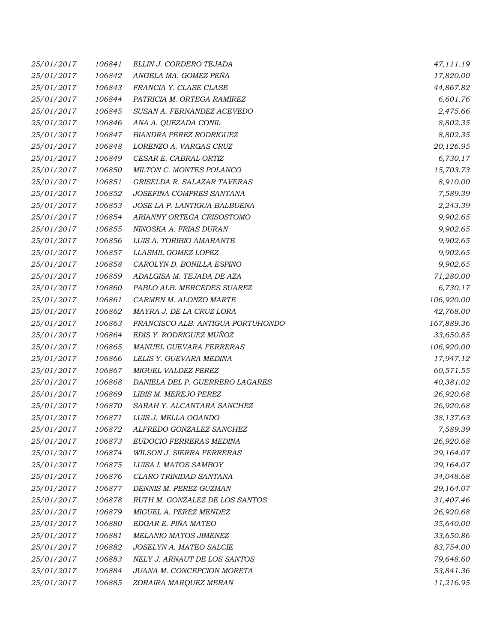| 25/01/2017 | 106841 | ELLIN J. CORDERO TEJADA           | 47,111.19  |
|------------|--------|-----------------------------------|------------|
| 25/01/2017 | 106842 | ANGELA MA. GOMEZ PEÑA             | 17,820.00  |
| 25/01/2017 | 106843 | FRANCIA Y. CLASE CLASE            | 44,867.82  |
| 25/01/2017 | 106844 | PATRICIA M. ORTEGA RAMIREZ        | 6,601.76   |
| 25/01/2017 | 106845 | SUSAN A. FERNANDEZ ACEVEDO        | 2,475.66   |
| 25/01/2017 | 106846 | ANA A. QUEZADA CONIL              | 8,802.35   |
| 25/01/2017 | 106847 | <b>BIANDRA PEREZ RODRIGUEZ</b>    | 8,802.35   |
| 25/01/2017 | 106848 | LORENZO A. VARGAS CRUZ            | 20,126.95  |
| 25/01/2017 | 106849 | CESAR E. CABRAL ORTIZ             | 6,730.17   |
| 25/01/2017 | 106850 | MILTON C. MONTES POLANCO          | 15,703.73  |
| 25/01/2017 | 106851 | GRISELDA R. SALAZAR TAVERAS       | 8,910.00   |
| 25/01/2017 | 106852 | JOSEFINA COMPRES SANTANA          | 7,589.39   |
| 25/01/2017 | 106853 | JOSE LA P. LANTIGUA BALBUENA      | 2,243.39   |
| 25/01/2017 | 106854 | ARIANNY ORTEGA CRISOSTOMO         | 9,902.65   |
| 25/01/2017 | 106855 | NINOSKA A. FRIAS DURAN            | 9,902.65   |
| 25/01/2017 | 106856 | LUIS A. TORIBIO AMARANTE          | 9,902.65   |
| 25/01/2017 | 106857 | LLASMIL GOMEZ LOPEZ               | 9,902.65   |
| 25/01/2017 | 106858 | CAROLYN D. BONILLA ESPINO         | 9,902.65   |
| 25/01/2017 | 106859 | ADALGISA M. TEJADA DE AZA         | 71,280.00  |
| 25/01/2017 | 106860 | PABLO ALB. MERCEDES SUAREZ        | 6,730.17   |
| 25/01/2017 | 106861 | CARMEN M. ALONZO MARTE            | 106,920.00 |
| 25/01/2017 | 106862 | MAYRA J. DE LA CRUZ LORA          | 42,768.00  |
| 25/01/2017 | 106863 | FRANCISCO ALB. ANTIGUA PORTUHONDO | 167,889.36 |
| 25/01/2017 | 106864 | EDIS Y. RODRIGUEZ MUÑOZ           | 33,650.85  |
| 25/01/2017 | 106865 | MANUEL GUEVARA FERRERAS           | 106,920.00 |
| 25/01/2017 | 106866 | LELIS Y. GUEVARA MEDINA           | 17,947.12  |
| 25/01/2017 | 106867 | MIGUEL VALDEZ PEREZ               | 60,571.55  |
| 25/01/2017 | 106868 | DANIELA DEL P. GUERRERO LAGARES   | 40,381.02  |
| 25/01/2017 | 106869 | LIBIS M. MEREJO PEREZ             | 26,920.68  |
| 25/01/2017 | 106870 | SARAH Y. ALCANTARA SANCHEZ        | 26,920.68  |
| 25/01/2017 | 106871 | LUIS J. MELLA OGANDO              | 38,137.63  |
| 25/01/2017 | 106872 | ALFREDO GONZALEZ SANCHEZ          | 7,589.39   |
| 25/01/2017 | 106873 | EUDOCIO FERRERAS MEDINA           | 26,920.68  |
| 25/01/2017 | 106874 | <b>WILSON J. SIERRA FERRERAS</b>  | 29,164.07  |
| 25/01/2017 | 106875 | LUISA I. MATOS SAMBOY             | 29,164.07  |
| 25/01/2017 | 106876 | CLARO TRINIDAD SANTANA            | 34,048.68  |
| 25/01/2017 | 106877 | DENNIS M. PEREZ GUZMAN            | 29,164.07  |
| 25/01/2017 | 106878 | RUTH M. GONZALEZ DE LOS SANTOS    | 31,407.46  |
| 25/01/2017 | 106879 | MIGUEL A. PEREZ MENDEZ            | 26,920.68  |
| 25/01/2017 | 106880 | EDGAR E. PIÑA MATEO               | 35,640.00  |
| 25/01/2017 | 106881 | MELANIO MATOS JIMENEZ             | 33,650.86  |
| 25/01/2017 | 106882 | JOSELYN A. MATEO SALCIE           | 83,754.00  |
| 25/01/2017 | 106883 | NELY J. ARNAUT DE LOS SANTOS      | 79,648.60  |
| 25/01/2017 | 106884 | JUANA M. CONCEPCION MORETA        | 53,841.36  |
| 25/01/2017 | 106885 | ZORAIRA MARQUEZ MERAN             | 11,216.95  |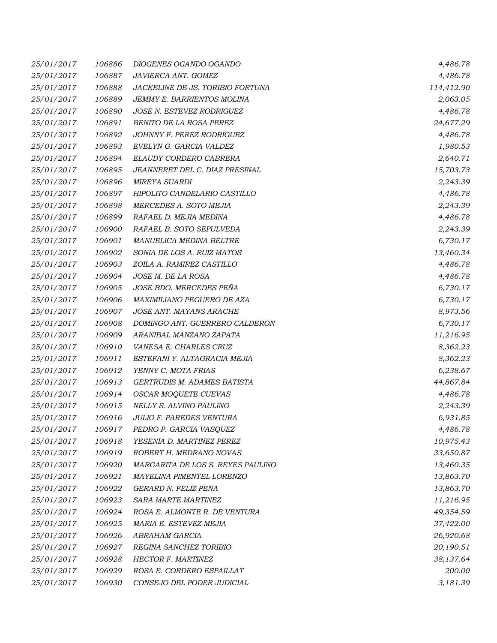| 25/01/2017 | 106886 | DIOGENES OGANDO OGANDO            | 4,486.78   |
|------------|--------|-----------------------------------|------------|
| 25/01/2017 | 106887 | JAVIERCA ANT. GOMEZ               | 4,486.78   |
| 25/01/2017 | 106888 | JACKELINE DE JS. TORIBIO FORTUNA  | 114,412.90 |
| 25/01/2017 | 106889 | JEMMY E. BARRIENTOS MOLINA        | 2,063.05   |
| 25/01/2017 | 106890 | JOSE N. ESTEVEZ RODRIGUEZ         | 4,486.78   |
| 25/01/2017 | 106891 | BENITO DE LA ROSA PEREZ           | 24,677.29  |
| 25/01/2017 | 106892 | JOHNNY F. PEREZ RODRIGUEZ         | 4,486.78   |
| 25/01/2017 | 106893 | EVELYN G. GARCIA VALDEZ           | 1,980.53   |
| 25/01/2017 | 106894 | ELAUDY CORDERO CABRERA            | 2,640.71   |
| 25/01/2017 | 106895 | JEANNERET DEL C. DIAZ PRESINAL    | 15,703.73  |
| 25/01/2017 | 106896 | <b>MIREYA SUARDI</b>              | 2,243.39   |
| 25/01/2017 | 106897 | HIPOLITO CANDELARIO CASTILLO      | 4,486.78   |
| 25/01/2017 | 106898 | MERCEDES A. SOTO MEJIA            | 2,243.39   |
| 25/01/2017 | 106899 | RAFAEL D. MEJIA MEDINA            | 4,486.78   |
| 25/01/2017 | 106900 | RAFAEL B. SOTO SEPULVEDA          | 2,243.39   |
| 25/01/2017 | 106901 | MANUELICA MEDINA BELTRE           | 6,730.17   |
| 25/01/2017 | 106902 | SONIA DE LOS A. RUIZ MATOS        | 13,460.34  |
| 25/01/2017 | 106903 | ZOILA A. RAMIREZ CASTILLO         | 4,486.78   |
| 25/01/2017 | 106904 | JOSE M. DE LA ROSA                | 4,486.78   |
| 25/01/2017 | 106905 | JOSE BDO. MERCEDES PEÑA           | 6,730.17   |
| 25/01/2017 | 106906 | MAXIMILIANO PEGUERO DE AZA        | 6,730.17   |
| 25/01/2017 | 106907 | JOSE ANT. MAYANS ARACHE           | 8,973.56   |
| 25/01/2017 | 106908 | DOMINGO ANT. GUERRERO CALDERON    | 6,730.17   |
| 25/01/2017 | 106909 | ARANIBAL MANZANO ZAPATA           | 11,216.95  |
| 25/01/2017 | 106910 | VANESA E. CHARLES CRUZ            | 8,362.23   |
| 25/01/2017 | 106911 | ESTEFANI Y. ALTAGRACIA MEJIA      | 8,362.23   |
| 25/01/2017 | 106912 | YENNY C. MOTA FRIAS               | 6,238.67   |
| 25/01/2017 | 106913 | GERTRUDIS M. ADAMES BATISTA       | 44,867.84  |
| 25/01/2017 | 106914 | OSCAR MOQUETE CUEVAS              | 4,486.78   |
| 25/01/2017 | 106915 | NELLY S. ALVINO PAULINO           | 2,243.39   |
| 25/01/2017 | 106916 | <b>JULIO F. PAREDES VENTURA</b>   | 6,931.85   |
| 25/01/2017 | 106917 | PEDRO P. GARCIA VASQUEZ           | 4,486.78   |
| 25/01/2017 | 106918 | YESENIA D. MARTINEZ PEREZ         | 10,975.43  |
| 25/01/2017 | 106919 | ROBERT H. MEDRANO NOVAS           | 33,650.87  |
| 25/01/2017 | 106920 | MARGARITA DE LOS S. REYES PAULINO | 13,460.35  |
| 25/01/2017 | 106921 | MAYELINA PIMENTEL LORENZO         | 13,863.70  |
| 25/01/2017 | 106922 | GERARD N. FELIZ PEÑA              | 13,863.70  |
| 25/01/2017 | 106923 | SARA MARTE MARTINEZ               | 11,216.95  |
| 25/01/2017 | 106924 | ROSA E. ALMONTE R. DE VENTURA     | 49,354.59  |
| 25/01/2017 | 106925 | MARIA E. ESTEVEZ MEJIA            | 37,422.00  |
| 25/01/2017 | 106926 | ABRAHAM GARCIA                    | 26,920.68  |
| 25/01/2017 | 106927 | REGINA SANCHEZ TORIBIO            | 20,190.51  |
| 25/01/2017 | 106928 | HECTOR F. MARTINEZ                | 38,137.64  |
| 25/01/2017 | 106929 | ROSA E. CORDERO ESPAILLAT         | 200.00     |
| 25/01/2017 | 106930 | CONSEJO DEL PODER JUDICIAL        | 3,181.39   |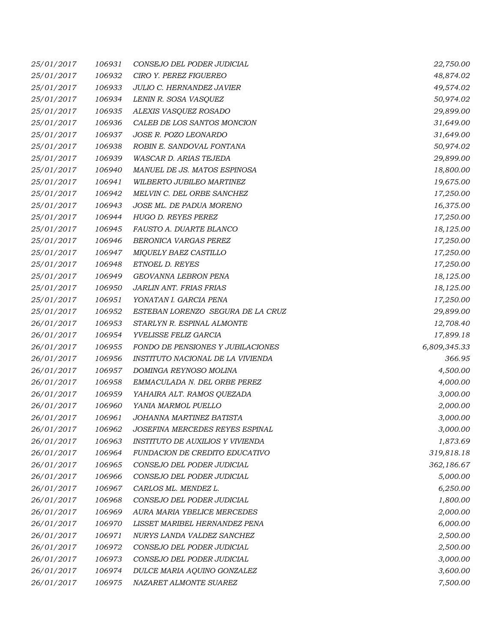| 25/01/2017 | 106931 | CONSEJO DEL PODER JUDICIAL        | 22,750.00    |
|------------|--------|-----------------------------------|--------------|
| 25/01/2017 | 106932 | CIRO Y. PEREZ FIGUEREO            | 48,874.02    |
| 25/01/2017 | 106933 | JULIO C. HERNANDEZ JAVIER         | 49,574.02    |
| 25/01/2017 | 106934 | LENIN R. SOSA VASQUEZ             | 50,974.02    |
| 25/01/2017 | 106935 | ALEXIS VASQUEZ ROSADO             | 29,899.00    |
| 25/01/2017 | 106936 | CALEB DE LOS SANTOS MONCION       | 31,649.00    |
| 25/01/2017 | 106937 | JOSE R. POZO LEONARDO             | 31,649.00    |
| 25/01/2017 | 106938 | ROBIN E. SANDOVAL FONTANA         | 50,974.02    |
| 25/01/2017 | 106939 | WASCAR D. ARIAS TEJEDA            | 29,899.00    |
| 25/01/2017 | 106940 | MANUEL DE JS. MATOS ESPINOSA      | 18,800.00    |
| 25/01/2017 | 106941 | WILBERTO JUBILEO MARTINEZ         | 19,675.00    |
| 25/01/2017 | 106942 | MELVIN C. DEL ORBE SANCHEZ        | 17,250.00    |
| 25/01/2017 | 106943 | JOSE ML. DE PADUA MORENO          | 16,375.00    |
| 25/01/2017 | 106944 | HUGO D. REYES PEREZ               | 17,250.00    |
| 25/01/2017 | 106945 | FAUSTO A. DUARTE BLANCO           | 18,125.00    |
| 25/01/2017 | 106946 | BERONICA VARGAS PEREZ             | 17,250.00    |
| 25/01/2017 | 106947 | MIQUELY BAEZ CASTILLO             | 17,250.00    |
| 25/01/2017 | 106948 | ETNOEL D. REYES                   | 17,250.00    |
| 25/01/2017 | 106949 | GEOVANNA LEBRON PENA              | 18,125.00    |
| 25/01/2017 | 106950 | <b>JARLIN ANT. FRIAS FRIAS</b>    | 18,125.00    |
| 25/01/2017 | 106951 | YONATAN I. GARCIA PENA            | 17,250.00    |
| 25/01/2017 | 106952 | ESTEBAN LORENZO SEGURA DE LA CRUZ | 29,899.00    |
| 26/01/2017 | 106953 | STARLYN R. ESPINAL ALMONTE        | 12,708.40    |
| 26/01/2017 | 106954 | YVELISSE FELIZ GARCIA             | 17,899.18    |
| 26/01/2017 | 106955 | FONDO DE PENSIONES Y JUBILACIONES | 6,809,345.33 |
| 26/01/2017 | 106956 | INSTITUTO NACIONAL DE LA VIVIENDA | 366.95       |
| 26/01/2017 | 106957 | DOMINGA REYNOSO MOLINA            | 4,500.00     |
| 26/01/2017 | 106958 | EMMACULADA N. DEL ORBE PEREZ      | 4,000.00     |
| 26/01/2017 | 106959 | YAHAIRA ALT. RAMOS QUEZADA        | 3,000.00     |
| 26/01/2017 | 106960 | YANIA MARMOL PUELLO               | 2,000.00     |
| 26/01/2017 | 106961 | JOHANNA MARTINEZ BATISTA          | 3,000.00     |
| 26/01/2017 | 106962 | JOSEFINA MERCEDES REYES ESPINAL   | 3,000.00     |
| 26/01/2017 | 106963 | INSTITUTO DE AUXILIOS Y VIVIENDA  | 1,873.69     |
| 26/01/2017 | 106964 | FUNDACION DE CREDITO EDUCATIVO    | 319,818.18   |
| 26/01/2017 | 106965 | CONSEJO DEL PODER JUDICIAL        | 362,186.67   |
| 26/01/2017 | 106966 | CONSEJO DEL PODER JUDICIAL        | 5,000.00     |
| 26/01/2017 | 106967 | CARLOS ML. MENDEZ L.              | 6,250.00     |
| 26/01/2017 | 106968 | CONSEJO DEL PODER JUDICIAL        | 1,800.00     |
| 26/01/2017 | 106969 | AURA MARIA YBELICE MERCEDES       | 2,000.00     |
| 26/01/2017 | 106970 | LISSET MARIBEL HERNANDEZ PENA     | 6,000.00     |
| 26/01/2017 | 106971 | NURYS LANDA VALDEZ SANCHEZ        | 2,500.00     |
| 26/01/2017 | 106972 | CONSEJO DEL PODER JUDICIAL        | 2,500.00     |
| 26/01/2017 | 106973 | CONSEJO DEL PODER JUDICIAL        | 3,000.00     |
| 26/01/2017 | 106974 | DULCE MARIA AQUINO GONZALEZ       | 3,600.00     |
| 26/01/2017 | 106975 | NAZARET ALMONTE SUAREZ            | 7,500.00     |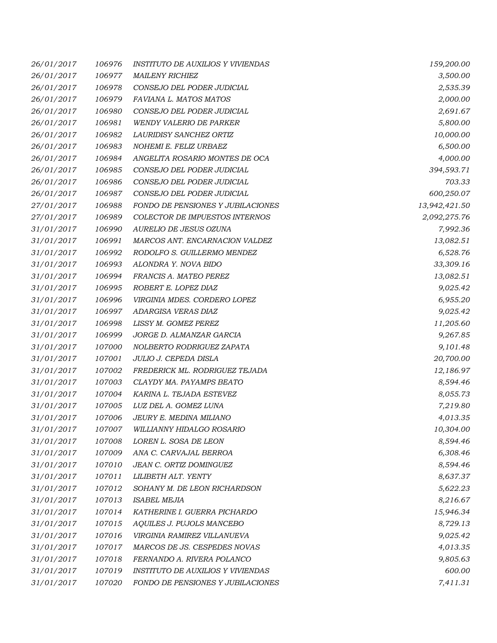| 26/01/2017 | 106976 | <b>INSTITUTO DE AUXILIOS Y VIVIENDAS</b> | 159,200.00    |
|------------|--------|------------------------------------------|---------------|
| 26/01/2017 | 106977 | <b>MAILENY RICHIEZ</b>                   | 3,500.00      |
| 26/01/2017 | 106978 | CONSEJO DEL PODER JUDICIAL               | 2,535.39      |
| 26/01/2017 | 106979 | FAVIANA L. MATOS MATOS                   | 2,000.00      |
| 26/01/2017 | 106980 | CONSEJO DEL PODER JUDICIAL               | 2,691.67      |
| 26/01/2017 | 106981 | <b>WENDY VALERIO DE PARKER</b>           | 5,800.00      |
| 26/01/2017 | 106982 | LAURIDISY SANCHEZ ORTIZ                  | 10,000.00     |
| 26/01/2017 | 106983 | NOHEMI E. FELIZ URBAEZ                   | 6,500.00      |
| 26/01/2017 | 106984 | ANGELITA ROSARIO MONTES DE OCA           | 4,000.00      |
| 26/01/2017 | 106985 | CONSEJO DEL PODER JUDICIAL               | 394,593.71    |
| 26/01/2017 | 106986 | CONSEJO DEL PODER JUDICIAL               | 703.33        |
| 26/01/2017 | 106987 | CONSEJO DEL PODER JUDICIAL               | 600,250.07    |
| 27/01/2017 | 106988 | FONDO DE PENSIONES Y JUBILACIONES        | 13,942,421.50 |
| 27/01/2017 | 106989 | COLECTOR DE IMPUESTOS INTERNOS           | 2,092,275.76  |
| 31/01/2017 | 106990 | AURELIO DE JESUS OZUNA                   | 7,992.36      |
| 31/01/2017 | 106991 | MARCOS ANT. ENCARNACION VALDEZ           | 13,082.51     |
| 31/01/2017 | 106992 | RODOLFO S. GUILLERMO MENDEZ              | 6,528.76      |
| 31/01/2017 | 106993 | ALONDRA Y. NOVA BIDO                     | 33,309.16     |
| 31/01/2017 | 106994 | FRANCIS A. MATEO PEREZ                   | 13,082.51     |
| 31/01/2017 | 106995 | ROBERT E. LOPEZ DIAZ                     | 9,025.42      |
| 31/01/2017 | 106996 | VIRGINIA MDES. CORDERO LOPEZ             | 6,955.20      |
| 31/01/2017 | 106997 | ADARGISA VERAS DIAZ                      | 9,025.42      |
| 31/01/2017 | 106998 | LISSY M. GOMEZ PEREZ                     | 11,205.60     |
| 31/01/2017 | 106999 | JORGE D. ALMANZAR GARCIA                 | 9,267.85      |
| 31/01/2017 | 107000 | NOLBERTO RODRIGUEZ ZAPATA                | 9,101.48      |
| 31/01/2017 | 107001 | JULIO J. CEPEDA DISLA                    | 20,700.00     |
| 31/01/2017 | 107002 | FREDERICK ML. RODRIGUEZ TEJADA           | 12,186.97     |
| 31/01/2017 | 107003 | CLAYDY MA. PAYAMPS BEATO                 | 8,594.46      |
| 31/01/2017 | 107004 | KARINA L. TEJADA ESTEVEZ                 | 8,055.73      |
| 31/01/2017 | 107005 | LUZ DEL A. GOMEZ LUNA                    | 7,219.80      |
| 31/01/2017 | 107006 | JEURY E. MEDINA MILIANO                  | 4,013.35      |
| 31/01/2017 | 107007 | WILLIANNY HIDALGO ROSARIO                | 10,304.00     |
| 31/01/2017 | 107008 | LOREN L. SOSA DE LEON                    | 8,594.46      |
| 31/01/2017 | 107009 | ANA C. CARVAJAL BERROA                   | 6,308.46      |
| 31/01/2017 | 107010 | JEAN C. ORTIZ DOMINGUEZ                  | 8,594.46      |
| 31/01/2017 | 107011 | LILIBETH ALT. YENTY                      | 8,637.37      |
| 31/01/2017 | 107012 | SOHANY M. DE LEON RICHARDSON             | 5,622.23      |
| 31/01/2017 | 107013 | <b>ISABEL MEJIA</b>                      | 8,216.67      |
| 31/01/2017 | 107014 | KATHERINE I. GUERRA PICHARDO             | 15,946.34     |
| 31/01/2017 | 107015 | AQUILES J. PUJOLS MANCEBO                | 8,729.13      |
| 31/01/2017 | 107016 | VIRGINIA RAMIREZ VILLANUEVA              | 9,025.42      |
| 31/01/2017 | 107017 | MARCOS DE JS. CESPEDES NOVAS             | 4,013.35      |
| 31/01/2017 | 107018 | FERNANDO A. RIVERA POLANCO               | 9,805.63      |
| 31/01/2017 | 107019 | <b>INSTITUTO DE AUXILIOS Y VIVIENDAS</b> | 600.00        |
| 31/01/2017 | 107020 | FONDO DE PENSIONES Y JUBILACIONES        | 7,411.31      |